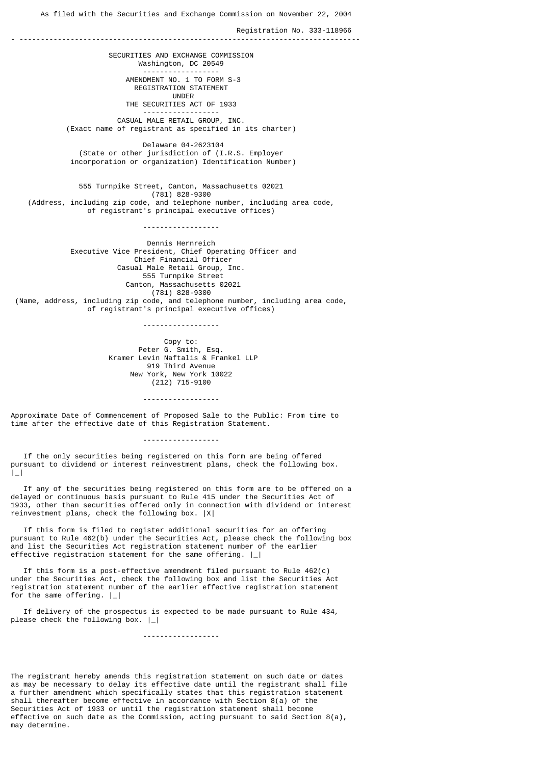As filed with the Securities and Exchange Commission on November 22, 2004

Registration No. 333-118966

- -------------------------------------------------------------------------------- SECURITIES AND EXCHANGE COMMISSION Washington, DC 20549 ------------------ AMENDMENT NO. 1 TO FORM S-3 REGISTRATION STATEMENT UNDER THE SECURITIES ACT OF 1933 ------------------ CASUAL MALE RETAIL GROUP, INC. (Exact name of registrant as specified in its charter) Delaware 04-2623104 (State or other jurisdiction of (I.R.S. Employer incorporation or organization) Identification Number) 555 Turnpike Street, Canton, Massachusetts 02021 (781) 828-9300 (Address, including zip code, and telephone number, including area code, of registrant's principal executive offices) ------------------ Dennis Hernreich Executive Vice President, Chief Operating Officer and Chief Financial Officer Casual Male Retail Group, Inc. 555 Turnpike Street Canton, Massachusetts 02021 (781) 828-9300 (Name, address, including zip code, and telephone number, including area code, of registrant's principal executive offices) ------------------ Copy to: Peter G. Smith, Esq. Kramer Levin Naftalis & Frankel LLP 919 Third Avenue New York, New York 10022 (212) 715-9100

Approximate Date of Commencement of Proposed Sale to the Public: From time to time after the effective date of this Registration Statement.

------------------

------------------

 If the only securities being registered on this form are being offered pursuant to dividend or interest reinvestment plans, check the following box.  $|$ 

 If any of the securities being registered on this form are to be offered on a delayed or continuous basis pursuant to Rule 415 under the Securities Act of 1933, other than securities offered only in connection with dividend or interest reinvestment plans, check the following box. |X|

 If this form is filed to register additional securities for an offering pursuant to Rule 462(b) under the Securities Act, please check the following box and list the Securities Act registration statement number of the earlier effective registration statement for the same offering. |\_|

 If this form is a post-effective amendment filed pursuant to Rule 462(c) under the Securities Act, check the following box and list the Securities Act registration statement number of the earlier effective registration statement for the same offering.  $|$ 

 If delivery of the prospectus is expected to be made pursuant to Rule 434, please check the following box.  $|-|$ 

------------------

The registrant hereby amends this registration statement on such date or dates as may be necessary to delay its effective date until the registrant shall file a further amendment which specifically states that this registration statement shall thereafter become effective in accordance with Section 8(a) of the Securities Act of 1933 or until the registration statement shall become effective on such date as the Commission, acting pursuant to said Section  $8(a)$ , may determine.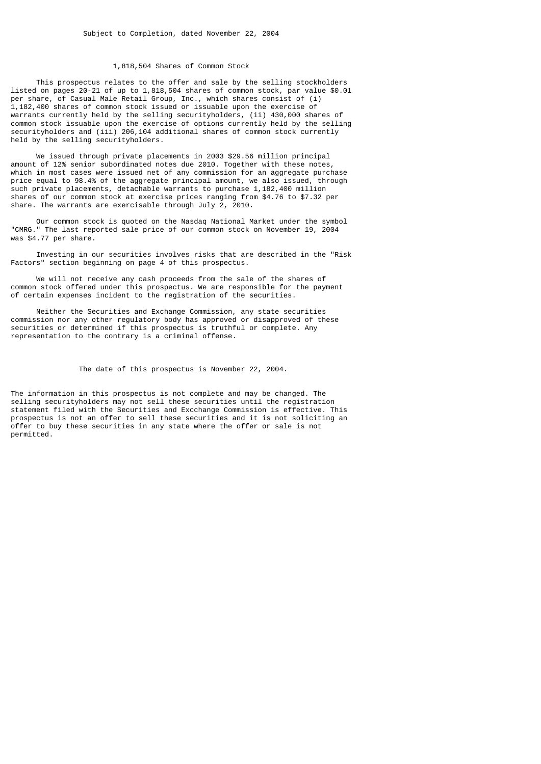## 1,818,504 Shares of Common Stock

 This prospectus relates to the offer and sale by the selling stockholders listed on pages 20-21 of up to 1,818,504 shares of common stock, par value \$0.01 per share, of Casual Male Retail Group, Inc., which shares consist of (i) 1,182,400 shares of common stock issued or issuable upon the exercise of warrants currently held by the selling securityholders, (ii) 430,000 shares of common stock issuable upon the exercise of options currently held by the selling securityholders and (iii) 206,104 additional shares of common stock currently held by the selling securityholders.

 We issued through private placements in 2003 \$29.56 million principal amount of 12% senior subordinated notes due 2010. Together with these notes, which in most cases were issued net of any commission for an aggregate purchase price equal to 98.4% of the aggregate principal amount, we also issued, through such private placements, detachable warrants to purchase 1,182,400 million shares of our common stock at exercise prices ranging from \$4.76 to \$7.32 per share. The warrants are exercisable through July 2, 2010.

 Our common stock is quoted on the Nasdaq National Market under the symbol "CMRG." The last reported sale price of our common stock on November 19, 2004 was \$4.77 per share.

 Investing in our securities involves risks that are described in the "Risk Factors" section beginning on page 4 of this prospectus.

 We will not receive any cash proceeds from the sale of the shares of common stock offered under this prospectus. We are responsible for the payment of certain expenses incident to the registration of the securities.

 Neither the Securities and Exchange Commission, any state securities commission nor any other regulatory body has approved or disapproved of these securities or determined if this prospectus is truthful or complete. Any representation to the contrary is a criminal offense.

### The date of this prospectus is November 22, 2004.

The information in this prospectus is not complete and may be changed. The selling securityholders may not sell these securities until the registration statement filed with the Securities and Excchange Commission is effective. This prospectus is not an offer to sell these securities and it is not soliciting an offer to buy these securities in any state where the offer or sale is not permitted.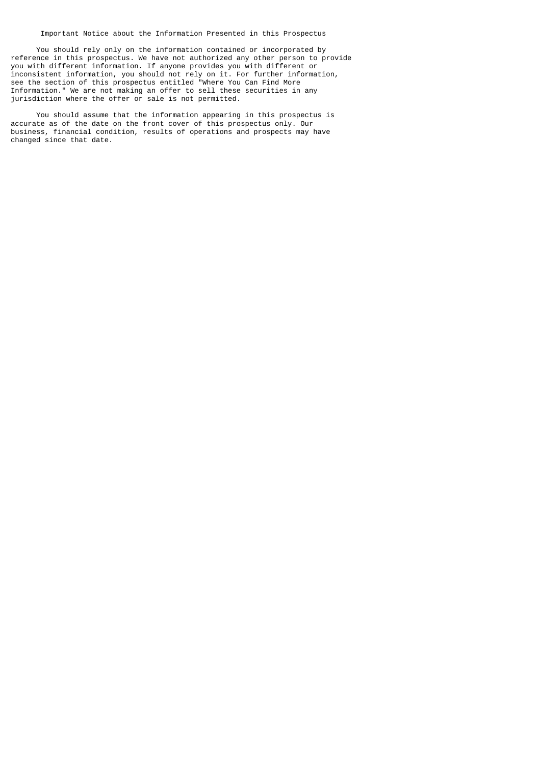Important Notice about the Information Presented in this Prospectus

 You should rely only on the information contained or incorporated by reference in this prospectus. We have not authorized any other person to provide you with different information. If anyone provides you with different or inconsistent information, you should not rely on it. For further information, see the section of this prospectus entitled "Where You Can Find More Information." We are not making an offer to sell these securities in any jurisdiction where the offer or sale is not permitted.

 You should assume that the information appearing in this prospectus is accurate as of the date on the front cover of this prospectus only. Our business, financial condition, results of operations and prospects may have changed since that date.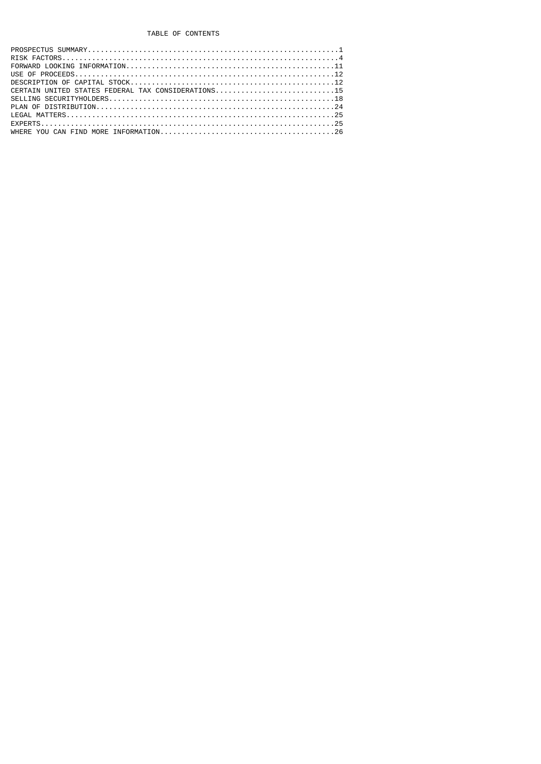# TABLE OF CONTENTS

| CERTAIN UNITED STATES FEDERAL TAX CONSIDERATIONS15 |
|----------------------------------------------------|
|                                                    |
|                                                    |
|                                                    |
|                                                    |
|                                                    |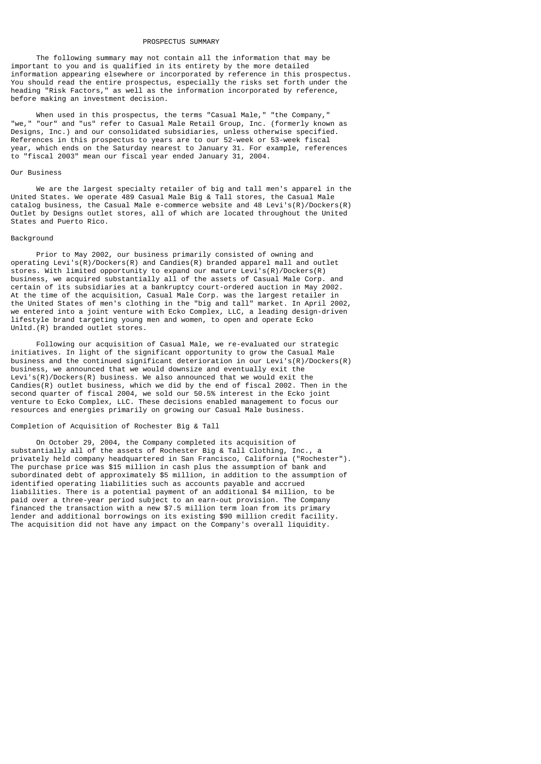#### PROSPECTUS SUMMARY

 The following summary may not contain all the information that may be important to you and is qualified in its entirety by the more detailed information appearing elsewhere or incorporated by reference in this prospectus. You should read the entire prospectus, especially the risks set forth under the heading "Risk Factors," as well as the information incorporated by reference, before making an investment decision.

 When used in this prospectus, the terms "Casual Male," "the Company," "we," "our" and "us" refer to Casual Male Retail Group, Inc. (formerly known as Designs, Inc.) and our consolidated subsidiaries, unless otherwise specified. References in this prospectus to years are to our 52-week or 53-week fiscal year, which ends on the Saturday nearest to January 31. For example, references to "fiscal 2003" mean our fiscal year ended January 31, 2004.

#### Our Business

 We are the largest specialty retailer of big and tall men's apparel in the United States. We operate 489 Casual Male Big & Tall stores, the Casual Male catalog business, the Casual Male e-commerce website and 48 Levi's(R)/Dockers(R) Outlet by Designs outlet stores, all of which are located throughout the United States and Puerto Rico.

#### **Background**

 Prior to May 2002, our business primarily consisted of owning and operating Levi's(R)/Dockers(R) and Candies(R) branded apparel mall and outlet stores. With limited opportunity to expand our mature Levi's(R)/Dockers(R) business, we acquired substantially all of the assets of Casual Male Corp. and certain of its subsidiaries at a bankruptcy court-ordered auction in May 2002. At the time of the acquisition, Casual Male Corp. was the largest retailer in the United States of men's clothing in the "big and tall" market. In April 2002, we entered into a joint venture with Ecko Complex, LLC, a leading design-driven lifestyle brand targeting young men and women, to open and operate Ecko Unltd.(R) branded outlet stores.

 Following our acquisition of Casual Male, we re-evaluated our strategic initiatives. In light of the significant opportunity to grow the Casual Male business and the continued significant deterioration in our Levi's(R)/Dockers(R) business, we announced that we would downsize and eventually exit the Levi's(R)/Dockers(R) business. We also announced that we would exit the  $C$ andies(R) outlet business, which we did by the end of fiscal 2002. Then in the second quarter of fiscal 2004, we sold our 50.5% interest in the Ecko joint venture to Ecko Complex, LLC. These decisions enabled management to focus our resources and energies primarily on growing our Casual Male business.

## Completion of Acquisition of Rochester Big & Tall

 On October 29, 2004, the Company completed its acquisition of substantially all of the assets of Rochester Big & Tall Clothing, Inc., a privately held company headquartered in San Francisco, California ("Rochester"). The purchase price was \$15 million in cash plus the assumption of bank and subordinated debt of approximately \$5 million, in addition to the assumption of identified operating liabilities such as accounts payable and accrued liabilities. There is a potential payment of an additional \$4 million, to be paid over a three-year period subject to an earn-out provision. The Company financed the transaction with a new \$7.5 million term loan from its primary lender and additional borrowings on its existing \$90 million credit facility. The acquisition did not have any impact on the Company's overall liquidity.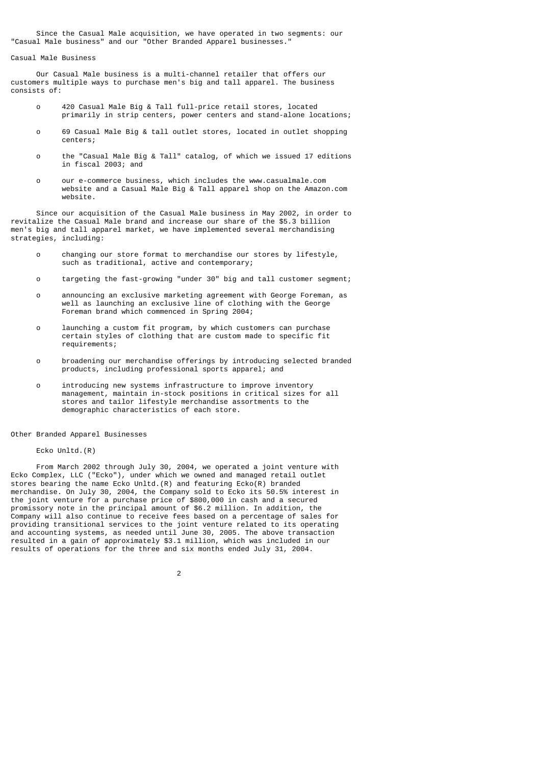Since the Casual Male acquisition, we have operated in two segments: our "Casual Male business" and our "Other Branded Apparel businesses."

### Casual Male Business

 Our Casual Male business is a multi-channel retailer that offers our customers multiple ways to purchase men's big and tall apparel. The business consists of:

- o 420 Casual Male Big & Tall full-price retail stores, located primarily in strip centers, power centers and stand-alone locations;
- o 69 Casual Male Big & tall outlet stores, located in outlet shopping centers;
- o the "Casual Male Big & Tall" catalog, of which we issued 17 editions in fiscal 2003; and
- o our e-commerce business, which includes the www.casualmale.com website and a Casual Male Big & Tall apparel shop on the Amazon.com website.

 Since our acquisition of the Casual Male business in May 2002, in order to revitalize the Casual Male brand and increase our share of the \$5.3 billion men's big and tall apparel market, we have implemented several merchandising strategies, including:

- o changing our store format to merchandise our stores by lifestyle, such as traditional, active and contemporary;
- o targeting the fast-growing "under 30" big and tall customer segment;
- o announcing an exclusive marketing agreement with George Foreman, as well as launching an exclusive line of clothing with the George Foreman brand which commenced in Spring 2004;
- o launching a custom fit program, by which customers can purchase certain styles of clothing that are custom made to specific fit requirements;
- o broadening our merchandise offerings by introducing selected branded products, including professional sports apparel; and
- o introducing new systems infrastructure to improve inventory management, maintain in-stock positions in critical sizes for all stores and tailor lifestyle merchandise assortments to the demographic characteristics of each store.

#### Other Branded Apparel Businesses

2

### Ecko Unltd.(R)

 From March 2002 through July 30, 2004, we operated a joint venture with Ecko Complex, LLC ("Ecko"), under which we owned and managed retail outlet stores bearing the name Ecko Unltd.(R) and featuring Ecko(R) branded merchandise. On July 30, 2004, the Company sold to Ecko its 50.5% interest in the joint venture for a purchase price of \$800,000 in cash and a secured promissory note in the principal amount of \$6.2 million. In addition, the Company will also continue to receive fees based on a percentage of sales for providing transitional services to the joint venture related to its operating and accounting systems, as needed until June 30, 2005. The above transaction resulted in a gain of approximately \$3.1 million, which was included in our results of operations for the three and six months ended July 31, 2004.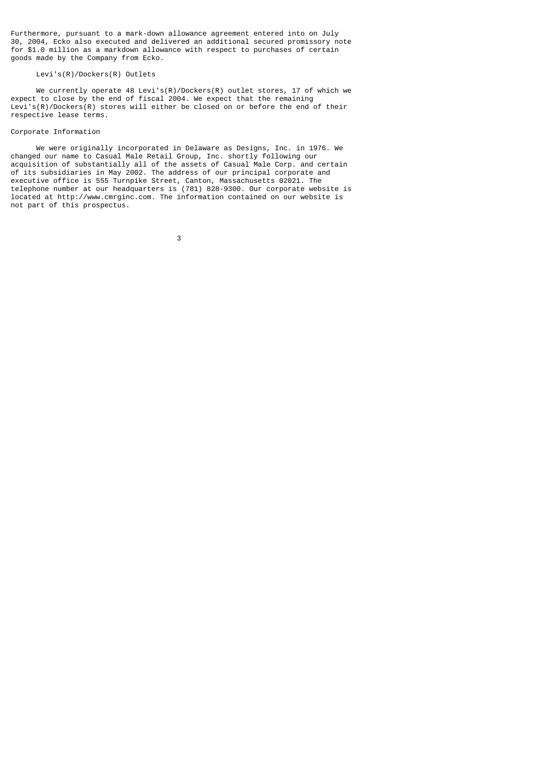Furthermore, pursuant to a mark-down allowance agreement entered into on July 30, 2004, Ecko also executed and delivered an additional secured promissory note for \$1.0 million as a markdown allowance with respect to purchases of certain goods made by the Company from Ecko.

## Levi's(R)/Dockers(R) Outlets

We currently operate 48 Levi's(R)/Dockers(R) outlet stores, 17 of which we expect to close by the end of fiscal 2004. We expect that the remaining Levi's(R)/Dockers(R) stores will either be closed on or before the end of their respective lease terms.

#### Corporate Information

 We were originally incorporated in Delaware as Designs, Inc. in 1976. We changed our name to Casual Male Retail Group, Inc. shortly following our acquisition of substantially all of the assets of Casual Male Corp. and certain of its subsidiaries in May 2002. The address of our principal corporate and executive office is 555 Turnpike Street, Canton, Massachusetts 02021. The telephone number at our headquarters is (781) 828-9300. Our corporate website is located at http://www.cmrginc.com. The information contained on our website is not part of this prospectus.

<u>3 and 2003 and 2003 and 2003 and 2003 and 2003 and 2003 and 2003 and 2003 and 2003 and 2003 and 200</u>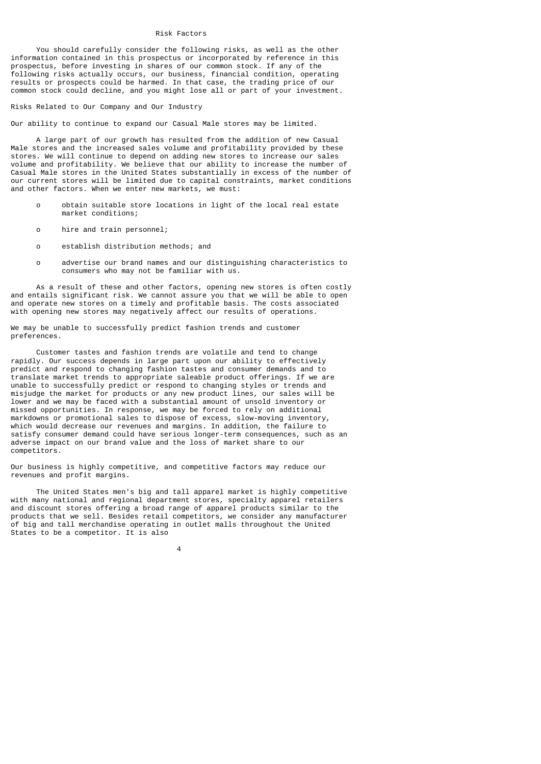### Risk Factors

 You should carefully consider the following risks, as well as the other information contained in this prospectus or incorporated by reference in this prospectus, before investing in shares of our common stock. If any of the following risks actually occurs, our business, financial condition, operating results or prospects could be harmed. In that case, the trading price of our common stock could decline, and you might lose all or part of your investment.

Risks Related to Our Company and Our Industry

Our ability to continue to expand our Casual Male stores may be limited.

 A large part of our growth has resulted from the addition of new Casual Male stores and the increased sales volume and profitability provided by these stores. We will continue to depend on adding new stores to increase our sales volume and profitability. We believe that our ability to increase the number of Casual Male stores in the United States substantially in excess of the number of our current stores will be limited due to capital constraints, market conditions and other factors. When we enter new markets, we must:

- o obtain suitable store locations in light of the local real estate market conditions;
- o hire and train personnel;
- o establish distribution methods; and
- o advertise our brand names and our distinguishing characteristics to consumers who may not be familiar with us.

 As a result of these and other factors, opening new stores is often costly and entails significant risk. We cannot assure you that we will be able to open and operate new stores on a timely and profitable basis. The costs associated with opening new stores may negatively affect our results of operations.

We may be unable to successfully predict fashion trends and customer preferences.

 Customer tastes and fashion trends are volatile and tend to change rapidly. Our success depends in large part upon our ability to effectively predict and respond to changing fashion tastes and consumer demands and to translate market trends to appropriate saleable product offerings. If we are unable to successfully predict or respond to changing styles or trends and misjudge the market for products or any new product lines, our sales will be lower and we may be faced with a substantial amount of unsold inventory or missed opportunities. In response, we may be forced to rely on additional markdowns or promotional sales to dispose of excess, slow-moving inventory, which would decrease our revenues and margins. In addition, the failure to satisfy consumer demand could have serious longer-term consequences, such as an adverse impact on our brand value and the loss of market share to our competitors.

Our business is highly competitive, and competitive factors may reduce our revenues and profit margins.

 The United States men's big and tall apparel market is highly competitive with many national and regional department stores, specialty apparel retailers and discount stores offering a broad range of apparel products similar to the products that we sell. Besides retail competitors, we consider any manufacturer of big and tall merchandise operating in outlet malls throughout the United States to be a competitor. It is also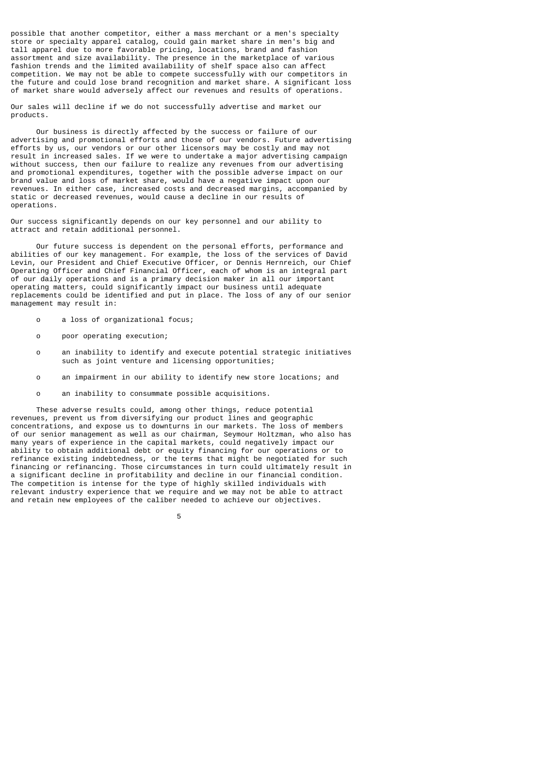possible that another competitor, either a mass merchant or a men's specialty store or specialty apparel catalog, could gain market share in men's big and tall apparel due to more favorable pricing, locations, brand and fashion assortment and size availability. The presence in the marketplace of various fashion trends and the limited availability of shelf space also can affect competition. We may not be able to compete successfully with our competitors in the future and could lose brand recognition and market share. A significant loss of market share would adversely affect our revenues and results of operations.

Our sales will decline if we do not successfully advertise and market our products.

 Our business is directly affected by the success or failure of our advertising and promotional efforts and those of our vendors. Future advertising efforts by us, our vendors or our other licensors may be costly and may not result in increased sales. If we were to undertake a major advertising campaign without success, then our failure to realize any revenues from our advertising and promotional expenditures, together with the possible adverse impact on our brand value and loss of market share, would have a negative impact upon our revenues. In either case, increased costs and decreased margins, accompanied by static or decreased revenues, would cause a decline in our results of operations.

Our success significantly depends on our key personnel and our ability to attract and retain additional personnel.

 Our future success is dependent on the personal efforts, performance and abilities of our key management. For example, the loss of the services of David Levin, our President and Chief Executive Officer, or Dennis Hernreich, our Chief Operating Officer and Chief Financial Officer, each of whom is an integral part of our daily operations and is a primary decision maker in all our important operating matters, could significantly impact our business until adequate replacements could be identified and put in place. The loss of any of our senior management may result in:

- o a loss of organizational focus;
- o poor operating execution;
- o an inability to identify and execute potential strategic initiatives such as joint venture and licensing opportunities;
- o an impairment in our ability to identify new store locations; and
- o an inability to consummate possible acquisitions.

 These adverse results could, among other things, reduce potential revenues, prevent us from diversifying our product lines and geographic concentrations, and expose us to downturns in our markets. The loss of members of our senior management as well as our chairman, Seymour Holtzman, who also has many years of experience in the capital markets, could negatively impact our ability to obtain additional debt or equity financing for our operations or to refinance existing indebtedness, or the terms that might be negotiated for such financing or refinancing. Those circumstances in turn could ultimately result in a significant decline in profitability and decline in our financial condition. The competition is intense for the type of highly skilled individuals with relevant industry experience that we require and we may not be able to attract and retain new employees of the caliber needed to achieve our objectives.

the contract of the contract of the contract of the contract of the contract of the contract of the contract o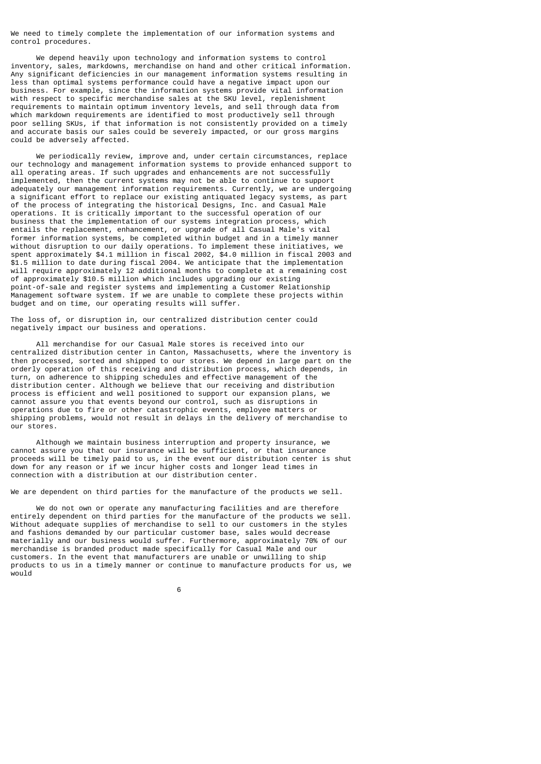We need to timely complete the implementation of our information systems and control procedures.

 We depend heavily upon technology and information systems to control inventory, sales, markdowns, merchandise on hand and other critical information. Any significant deficiencies in our management information systems resulting in less than optimal systems performance could have a negative impact upon our business. For example, since the information systems provide vital information with respect to specific merchandise sales at the SKU level, replenishment requirements to maintain optimum inventory levels, and sell through data from which markdown requirements are identified to most productively sell through poor selling SKUs, if that information is not consistently provided on a timely and accurate basis our sales could be severely impacted, or our gross margins could be adversely affected.

 We periodically review, improve and, under certain circumstances, replace our technology and management information systems to provide enhanced support to all operating areas. If such upgrades and enhancements are not successfully implemented, then the current systems may not be able to continue to support adequately our management information requirements. Currently, we are undergoing a significant effort to replace our existing antiquated legacy systems, as part of the process of integrating the historical Designs, Inc. and Casual Male operations. It is critically important to the successful operation of our business that the implementation of our systems integration process, which entails the replacement, enhancement, or upgrade of all Casual Male's vital former information systems, be completed within budget and in a timely manner without disruption to our daily operations. To implement these initiatives, we spent approximately \$4.1 million in fiscal 2002, \$4.0 million in fiscal 2003 and \$1.5 million to date during fiscal 2004. We anticipate that the implementation will require approximately 12 additional months to complete at a remaining cost of approximately \$10.5 million which includes upgrading our existing point-of-sale and register systems and implementing a Customer Relationship Management software system. If we are unable to complete these projects within budget and on time, our operating results will suffer.

The loss of, or disruption in, our centralized distribution center could negatively impact our business and operations.

 All merchandise for our Casual Male stores is received into our centralized distribution center in Canton, Massachusetts, where the inventory is then processed, sorted and shipped to our stores. We depend in large part on the orderly operation of this receiving and distribution process, which depends, in turn, on adherence to shipping schedules and effective management of the distribution center. Although we believe that our receiving and distribution process is efficient and well positioned to support our expansion plans, we cannot assure you that events beyond our control, such as disruptions in operations due to fire or other catastrophic events, employee matters or shipping problems, would not result in delays in the delivery of merchandise to our stores.

 Although we maintain business interruption and property insurance, we cannot assure you that our insurance will be sufficient, or that insurance proceeds will be timely paid to us, in the event our distribution center is shut down for any reason or if we incur higher costs and longer lead times in connection with a distribution at our distribution center.

We are dependent on third parties for the manufacture of the products we sell.

 We do not own or operate any manufacturing facilities and are therefore entirely dependent on third parties for the manufacture of the products we sell. Without adequate supplies of merchandise to sell to our customers in the styles and fashions demanded by our particular customer base, sales would decrease materially and our business would suffer. Furthermore, approximately 70% of our merchandise is branded product made specifically for Casual Male and our customers. In the event that manufacturers are unable or unwilling to ship products to us in a timely manner or continue to manufacture products for us, we would

 $\sim$  6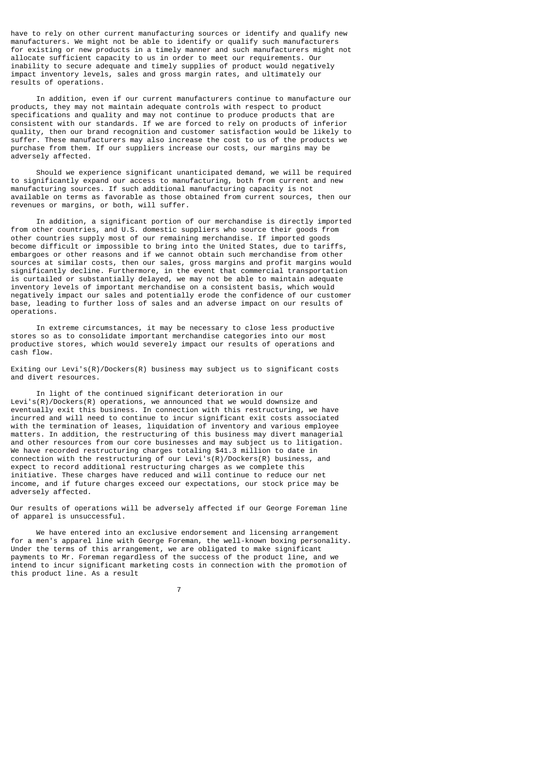have to rely on other current manufacturing sources or identify and qualify new manufacturers. We might not be able to identify or qualify such manufacturers for existing or new products in a timely manner and such manufacturers might not allocate sufficient capacity to us in order to meet our requirements. Our inability to secure adequate and timely supplies of product would negatively impact inventory levels, sales and gross margin rates, and ultimately our results of operations.

 In addition, even if our current manufacturers continue to manufacture our products, they may not maintain adequate controls with respect to product specifications and quality and may not continue to produce products that are consistent with our standards. If we are forced to rely on products of inferior quality, then our brand recognition and customer satisfaction would be likely to suffer. These manufacturers may also increase the cost to us of the products we purchase from them. If our suppliers increase our costs, our margins may be adversely affected.

 Should we experience significant unanticipated demand, we will be required to significantly expand our access to manufacturing, both from current and new manufacturing sources. If such additional manufacturing capacity is not available on terms as favorable as those obtained from current sources, then our revenues or margins, or both, will suffer.

 In addition, a significant portion of our merchandise is directly imported from other countries, and U.S. domestic suppliers who source their goods from other countries supply most of our remaining merchandise. If imported goods become difficult or impossible to bring into the United States, due to tariffs, embargoes or other reasons and if we cannot obtain such merchandise from other sources at similar costs, then our sales, gross margins and profit margins would significantly decline. Furthermore, in the event that commercial transportation is curtailed or substantially delayed, we may not be able to maintain adequate inventory levels of important merchandise on a consistent basis, which would negatively impact our sales and potentially erode the confidence of our customer base, leading to further loss of sales and an adverse impact on our results of operations.

 In extreme circumstances, it may be necessary to close less productive stores so as to consolidate important merchandise categories into our most productive stores, which would severely impact our results of operations and cash flow.

Exiting our Levi's(R)/Dockers(R) business may subject us to significant costs and divert resources.

 In light of the continued significant deterioration in our Levi's(R)/Dockers(R) operations, we announced that we would downsize and eventually exit this business. In connection with this restructuring, we have incurred and will need to continue to incur significant exit costs associated with the termination of leases, liquidation of inventory and various employee matters. In addition, the restructuring of this business may divert managerial and other resources from our core businesses and may subject us to litigation. We have recorded restructuring charges totaling \$41.3 million to date in connection with the restructuring of our Levi's(R)/Dockers(R) business, and expect to record additional restructuring charges as we complete this initiative. These charges have reduced and will continue to reduce our net income, and if future charges exceed our expectations, our stock price may be adversely affected.

Our results of operations will be adversely affected if our George Foreman line of apparel is unsuccessful.

 We have entered into an exclusive endorsement and licensing arrangement for a men's apparel line with George Foreman, the well-known boxing personality. Under the terms of this arrangement, we are obligated to make significant payments to Mr. Foreman regardless of the success of the product line, and we intend to incur significant marketing costs in connection with the promotion of this product line. As a result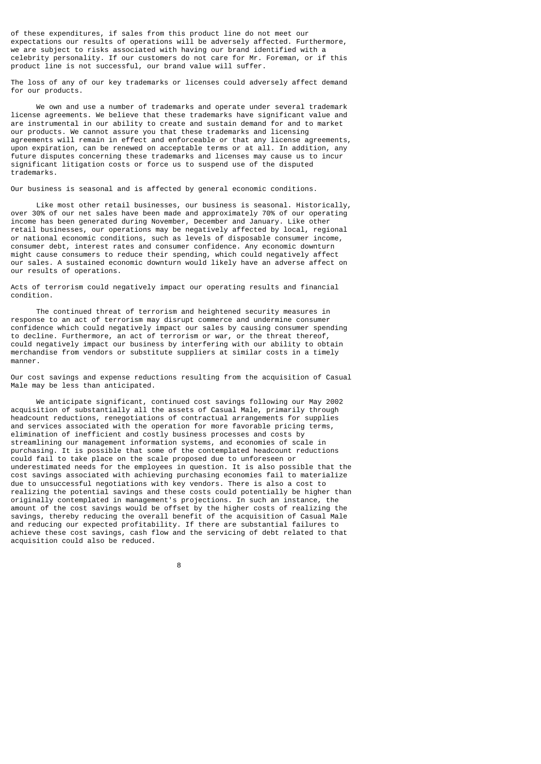of these expenditures, if sales from this product line do not meet our expectations our results of operations will be adversely affected. Furthermore, we are subject to risks associated with having our brand identified with a celebrity personality. If our customers do not care for Mr. Foreman, or if this product line is not successful, our brand value will suffer.

The loss of any of our key trademarks or licenses could adversely affect demand for our products.

 We own and use a number of trademarks and operate under several trademark license agreements. We believe that these trademarks have significant value and are instrumental in our ability to create and sustain demand for and to market our products. We cannot assure you that these trademarks and licensing agreements will remain in effect and enforceable or that any license agreements, upon expiration, can be renewed on acceptable terms or at all. In addition, any future disputes concerning these trademarks and licenses may cause us to incur significant litigation costs or force us to suspend use of the disputed trademarks.

Our business is seasonal and is affected by general economic conditions.

 Like most other retail businesses, our business is seasonal. Historically, over 30% of our net sales have been made and approximately 70% of our operating income has been generated during November, December and January. Like other retail businesses, our operations may be negatively affected by local, regional or national economic conditions, such as levels of disposable consumer income, consumer debt, interest rates and consumer confidence. Any economic downturn might cause consumers to reduce their spending, which could negatively affect our sales. A sustained economic downturn would likely have an adverse affect on our results of operations.

Acts of terrorism could negatively impact our operating results and financial condition.

 The continued threat of terrorism and heightened security measures in response to an act of terrorism may disrupt commerce and undermine consumer confidence which could negatively impact our sales by causing consumer spending to decline. Furthermore, an act of terrorism or war, or the threat thereof, could negatively impact our business by interfering with our ability to obtain merchandise from vendors or substitute suppliers at similar costs in a timely manner.

Our cost savings and expense reductions resulting from the acquisition of Casual Male may be less than anticipated.

 We anticipate significant, continued cost savings following our May 2002 acquisition of substantially all the assets of Casual Male, primarily through headcount reductions, renegotiations of contractual arrangements for supplies and services associated with the operation for more favorable pricing terms, elimination of inefficient and costly business processes and costs by streamlining our management information systems, and economies of scale in purchasing. It is possible that some of the contemplated headcount reductions could fail to take place on the scale proposed due to unforeseen or underestimated needs for the employees in question. It is also possible that the cost savings associated with achieving purchasing economies fail to materialize due to unsuccessful negotiations with key vendors. There is also a cost to realizing the potential savings and these costs could potentially be higher than originally contemplated in management's projections. In such an instance, the amount of the cost savings would be offset by the higher costs of realizing the savings, thereby reducing the overall benefit of the acquisition of Casual Male and reducing our expected profitability. If there are substantial failures to achieve these cost savings, cash flow and the servicing of debt related to that acquisition could also be reduced.

e a construction de la construction de la construction de la construction de la construction de la constructio<br>En 1980, en 1980, en 1980, en 1980, en 1980, en 1980, en 1980, en 1980, en 1980, en 1980, en 1980, en 1980, en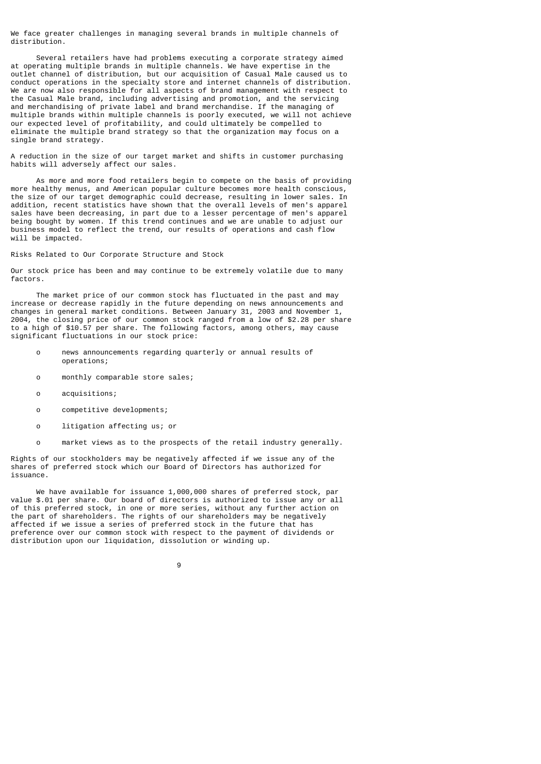We face greater challenges in managing several brands in multiple channels of distribution.

 Several retailers have had problems executing a corporate strategy aimed at operating multiple brands in multiple channels. We have expertise in the outlet channel of distribution, but our acquisition of Casual Male caused us to conduct operations in the specialty store and internet channels of distribution. We are now also responsible for all aspects of brand management with respect to the Casual Male brand, including advertising and promotion, and the servicing and merchandising of private label and brand merchandise. If the managing of multiple brands within multiple channels is poorly executed, we will not achieve our expected level of profitability, and could ultimately be compelled to eliminate the multiple brand strategy so that the organization may focus on a single brand strategy.

A reduction in the size of our target market and shifts in customer purchasing habits will adversely affect our sales.

 As more and more food retailers begin to compete on the basis of providing more healthy menus, and American popular culture becomes more health conscious, the size of our target demographic could decrease, resulting in lower sales. In addition, recent statistics have shown that the overall levels of men's apparel sales have been decreasing, in part due to a lesser percentage of men's apparel being bought by women. If this trend continues and we are unable to adjust our business model to reflect the trend, our results of operations and cash flow will be impacted

Risks Related to Our Corporate Structure and Stock

Our stock price has been and may continue to be extremely volatile due to many factors.

 The market price of our common stock has fluctuated in the past and may increase or decrease rapidly in the future depending on news announcements and changes in general market conditions. Between January 31, 2003 and November 1, 2004, the closing price of our common stock ranged from a low of \$2.28 per share to a high of \$10.57 per share. The following factors, among others, may cause significant fluctuations in our stock price:

- o news announcements regarding quarterly or annual results of operations;
- o monthly comparable store sales;
- o acquisitions;
- o competitive developments;
- o litigation affecting us; or
- o market views as to the prospects of the retail industry generally.

Rights of our stockholders may be negatively affected if we issue any of the shares of preferred stock which our Board of Directors has authorized for issuance.

 We have available for issuance 1,000,000 shares of preferred stock, par value \$.01 per share. Our board of directors is authorized to issue any or all of this preferred stock, in one or more series, without any further action on the part of shareholders. The rights of our shareholders may be negatively affected if we issue a series of preferred stock in the future that has preference over our common stock with respect to the payment of dividends or distribution upon our liquidation, dissolution or winding up.

9 and 20 and 20 and 20 and 20 and 20 and 20 and 20 and 20 and 20 and 20 and 20 and 20 and 20 and 20 and 20 and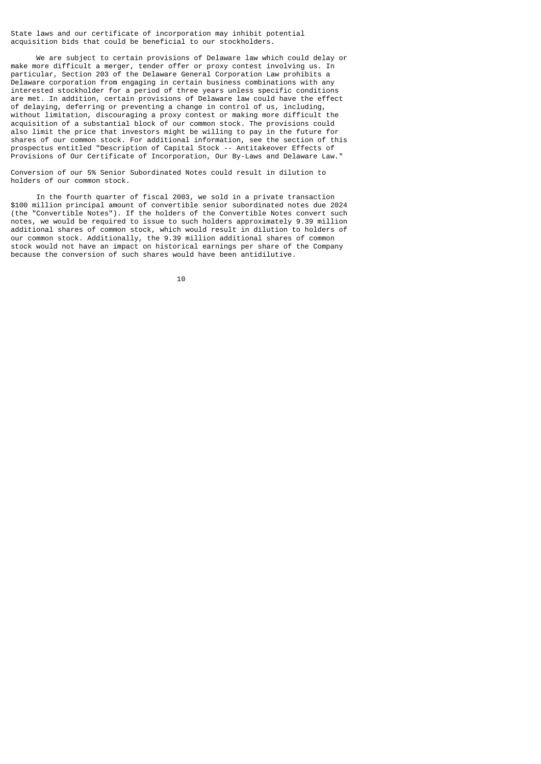State laws and our certificate of incorporation may inhibit potential acquisition bids that could be beneficial to our stockholders.

 We are subject to certain provisions of Delaware law which could delay or make more difficult a merger, tender offer or proxy contest involving us. In particular, Section 203 of the Delaware General Corporation Law prohibits a Delaware corporation from engaging in certain business combinations with any interested stockholder for a period of three years unless specific conditions are met. In addition, certain provisions of Delaware law could have the effect of delaying, deferring or preventing a change in control of us, including, without limitation, discouraging a proxy contest or making more difficult the acquisition of a substantial block of our common stock. The provisions could also limit the price that investors might be willing to pay in the future for shares of our common stock. For additional information, see the section of this prospectus entitled "Description of Capital Stock -- Antitakeover Effects of Provisions of Our Certificate of Incorporation, Our By-Laws and Delaware Law."

Conversion of our 5% Senior Subordinated Notes could result in dilution to holders of our common stock.

 In the fourth quarter of fiscal 2003, we sold in a private transaction \$100 million principal amount of convertible senior subordinated notes due 2024 (the "Convertible Notes"). If the holders of the Convertible Notes convert such notes, we would be required to issue to such holders approximately 9.39 million additional shares of common stock, which would result in dilution to holders of our common stock. Additionally, the 9.39 million additional shares of common stock would not have an impact on historical earnings per share of the Company because the conversion of such shares would have been antidilutive.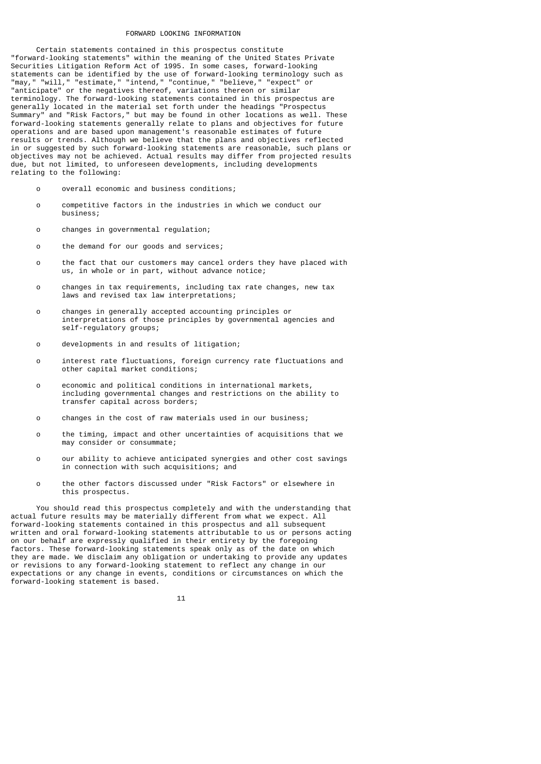### FORWARD LOOKING INFORMATION

 Certain statements contained in this prospectus constitute "forward-looking statements" within the meaning of the United States Private Securities Litigation Reform Act of 1995. In some cases, forward-looking statements can be identified by the use of forward-looking terminology such as "may," "will," "estimate," "intend," "continue," "believe," "expect" or "anticipate" or the negatives thereof, variations thereon or similar terminology. The forward-looking statements contained in this prospectus are generally located in the material set forth under the headings "Prospectus Summary" and "Risk Factors," but may be found in other locations as well. These forward-looking statements generally relate to plans and objectives for future operations and are based upon management's reasonable estimates of future results or trends. Although we believe that the plans and objectives reflected in or suggested by such forward-looking statements are reasonable, such plans or objectives may not be achieved. Actual results may differ from projected results due, but not limited, to unforeseen developments, including developments relating to the following:

- o overall economic and business conditions;
- o competitive factors in the industries in which we conduct our business;
- o changes in governmental regulation;
- o the demand for our goods and services;
- o the fact that our customers may cancel orders they have placed with us, in whole or in part, without advance notice;
- o changes in tax requirements, including tax rate changes, new tax laws and revised tax law interpretations;
- o changes in generally accepted accounting principles or interpretations of those principles by governmental agencies and self-regulatory groups;
- o developments in and results of litigation;
- o interest rate fluctuations, foreign currency rate fluctuations and other capital market conditions;
- o economic and political conditions in international markets, including governmental changes and restrictions on the ability to transfer capital across borders;
- o changes in the cost of raw materials used in our business;
- o the timing, impact and other uncertainties of acquisitions that we may consider or consummate;
- o our ability to achieve anticipated synergies and other cost savings in connection with such acquisitions; and
- o the other factors discussed under "Risk Factors" or elsewhere in this prospectus.

 You should read this prospectus completely and with the understanding that actual future results may be materially different from what we expect. All forward-looking statements contained in this prospectus and all subsequent written and oral forward-looking statements attributable to us or persons acting on our behalf are expressly qualified in their entirety by the foregoing factors. These forward-looking statements speak only as of the date on which they are made. We disclaim any obligation or undertaking to provide any updates or revisions to any forward-looking statement to reflect any change in our expectations or any change in events, conditions or circumstances on which the forward-looking statement is based.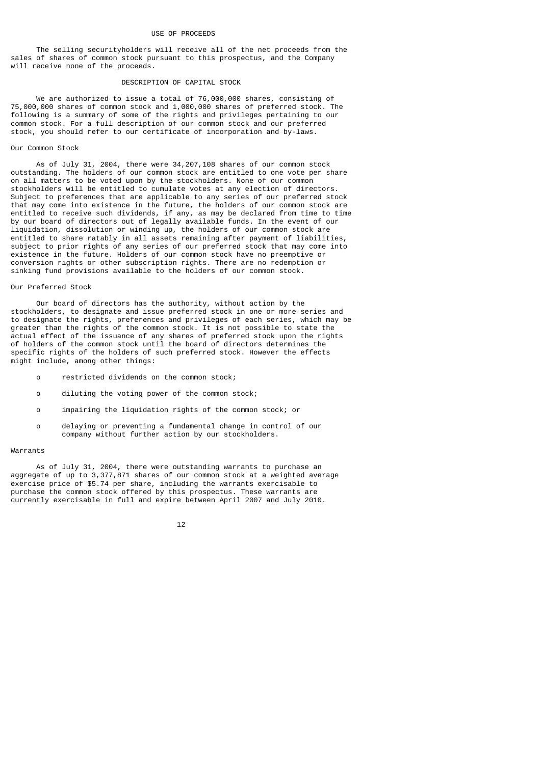### USE OF PROCEEDS

 The selling securityholders will receive all of the net proceeds from the sales of shares of common stock pursuant to this prospectus, and the Company will receive none of the proceeds.

### DESCRIPTION OF CAPITAL STOCK

 We are authorized to issue a total of 76,000,000 shares, consisting of 75,000,000 shares of common stock and 1,000,000 shares of preferred stock. The following is a summary of some of the rights and privileges pertaining to our common stock. For a full description of our common stock and our preferred stock, you should refer to our certificate of incorporation and by-laws.

### Our Common Stock

 As of July 31, 2004, there were 34,207,108 shares of our common stock outstanding. The holders of our common stock are entitled to one vote per share on all matters to be voted upon by the stockholders. None of our common stockholders will be entitled to cumulate votes at any election of directors. Subject to preferences that are applicable to any series of our preferred stock that may come into existence in the future, the holders of our common stock are entitled to receive such dividends, if any, as may be declared from time to time by our board of directors out of legally available funds. In the event of our liquidation, dissolution or winding up, the holders of our common stock are entitled to share ratably in all assets remaining after payment of liabilities, subject to prior rights of any series of our preferred stock that may come into existence in the future. Holders of our common stock have no preemptive or conversion rights or other subscription rights. There are no redemption or sinking fund provisions available to the holders of our common stock.

### Our Preferred Stock

 Our board of directors has the authority, without action by the stockholders, to designate and issue preferred stock in one or more series and to designate the rights, preferences and privileges of each series, which may be greater than the rights of the common stock. It is not possible to state the actual effect of the issuance of any shares of preferred stock upon the rights of holders of the common stock until the board of directors determines the specific rights of the holders of such preferred stock. However the effects might include, among other things:

- o restricted dividends on the common stock;
- o diluting the voting power of the common stock;
- o impairing the liquidation rights of the common stock; or
- o delaying or preventing a fundamental change in control of our company without further action by our stockholders.

#### Warrants

 As of July 31, 2004, there were outstanding warrants to purchase an aggregate of up to 3,377,871 shares of our common stock at a weighted average exercise price of \$5.74 per share, including the warrants exercisable to purchase the common stock offered by this prospectus. These warrants are currently exercisable in full and expire between April 2007 and July 2010.

#### 12 and 12 and 12 and 12 and 12 and 12 and 12 and 12 and 12 and 12 and 12 and 12 and 12 and 12 and 12 and 12 an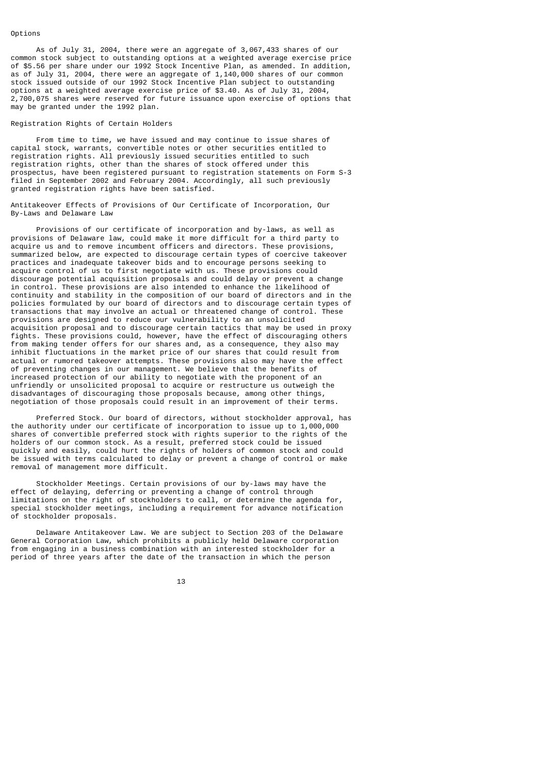## Options

 As of July 31, 2004, there were an aggregate of 3,067,433 shares of our common stock subject to outstanding options at a weighted average exercise price of \$5.56 per share under our 1992 Stock Incentive Plan, as amended. In addition, as of July 31, 2004, there were an aggregate of 1,140,000 shares of our common stock issued outside of our 1992 Stock Incentive Plan subject to outstanding options at a weighted average exercise price of \$3.40. As of July 31, 2004, 2,700,075 shares were reserved for future issuance upon exercise of options that may be granted under the 1992 plan.

#### Registration Rights of Certain Holders

 From time to time, we have issued and may continue to issue shares of capital stock, warrants, convertible notes or other securities entitled to registration rights. All previously issued securities entitled to such registration rights, other than the shares of stock offered under this prospectus, have been registered pursuant to registration statements on Form S-3 filed in September 2002 and February 2004. Accordingly, all such previously granted registration rights have been satisfied.

Antitakeover Effects of Provisions of Our Certificate of Incorporation, Our By-Laws and Delaware Law

 Provisions of our certificate of incorporation and by-laws, as well as provisions of Delaware law, could make it more difficult for a third party to acquire us and to remove incumbent officers and directors. These provisions, summarized below, are expected to discourage certain types of coercive takeover practices and inadequate takeover bids and to encourage persons seeking to acquire control of us to first negotiate with us. These provisions could discourage potential acquisition proposals and could delay or prevent a change in control. These provisions are also intended to enhance the likelihood of continuity and stability in the composition of our board of directors and in the policies formulated by our board of directors and to discourage certain types of transactions that may involve an actual or threatened change of control. These provisions are designed to reduce our vulnerability to an unsolicited acquisition proposal and to discourage certain tactics that may be used in proxy fights. These provisions could, however, have the effect of discouraging others from making tender offers for our shares and, as a consequence, they also may inhibit fluctuations in the market price of our shares that could result from actual or rumored takeover attempts. These provisions also may have the effect of preventing changes in our management. We believe that the benefits of increased protection of our ability to negotiate with the proponent of an unfriendly or unsolicited proposal to acquire or restructure us outweigh the disadvantages of discouraging those proposals because, among other things, negotiation of those proposals could result in an improvement of their terms.

 Preferred Stock. Our board of directors, without stockholder approval, has the authority under our certificate of incorporation to issue up to  $1,000,000$ shares of convertible preferred stock with rights superior to the rights of the holders of our common stock. As a result, preferred stock could be issued quickly and easily, could hurt the rights of holders of common stock and could be issued with terms calculated to delay or prevent a change of control or make removal of management more difficult.

 Stockholder Meetings. Certain provisions of our by-laws may have the effect of delaying, deferring or preventing a change of control through limitations on the right of stockholders to call, or determine the agenda for, special stockholder meetings, including a requirement for advance notification of stockholder proposals.

 Delaware Antitakeover Law. We are subject to Section 203 of the Delaware General Corporation Law, which prohibits a publicly held Delaware corporation from engaging in a business combination with an interested stockholder for a period of three years after the date of the transaction in which the person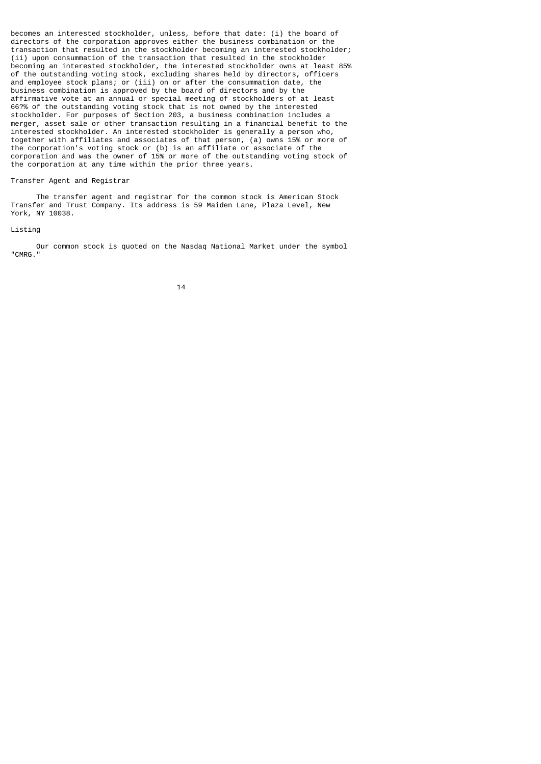becomes an interested stockholder, unless, before that date: (i) the board of directors of the corporation approves either the business combination or the transaction that resulted in the stockholder becoming an interested stockholder; (ii) upon consummation of the transaction that resulted in the stockholder becoming an interested stockholder, the interested stockholder owns at least 85% of the outstanding voting stock, excluding shares held by directors, officers and employee stock plans; or (iii) on or after the consummation date, the business combination is approved by the board of directors and by the affirmative vote at an annual or special meeting of stockholders of at least 66?% of the outstanding voting stock that is not owned by the interested stockholder. For purposes of Section 203, a business combination includes a merger, asset sale or other transaction resulting in a financial benefit to the interested stockholder. An interested stockholder is generally a person who, together with affiliates and associates of that person, (a) owns 15% or more of the corporation's voting stock or (b) is an affiliate or associate of the corporation and was the owner of 15% or more of the outstanding voting stock of the corporation at any time within the prior three years.

### Transfer Agent and Registrar

 The transfer agent and registrar for the common stock is American Stock Transfer and Trust Company. Its address is 59 Maiden Lane, Plaza Level, New York, NY 10038.

### Listing

 Our common stock is quoted on the Nasdaq National Market under the symbol "CMRG."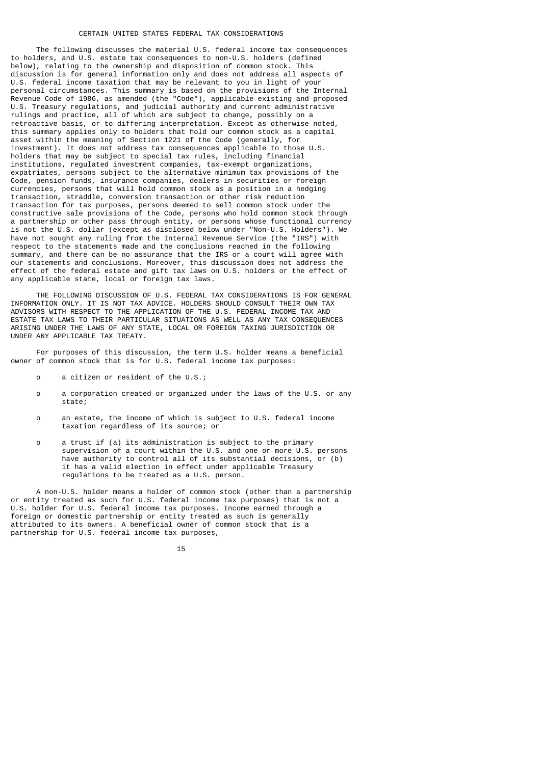### CERTAIN UNITED STATES FEDERAL TAX CONSIDERATIONS

 The following discusses the material U.S. federal income tax consequences to holders, and U.S. estate tax consequences to non-U.S. holders (defined below), relating to the ownership and disposition of common stock. This below), relating to the ownership and disposition of common stock. discussion is for general information only and does not address all aspects of U.S. federal income taxation that may be relevant to you in light of your personal circumstances. This summary is based on the provisions of the Internal Revenue Code of 1986, as amended (the "Code"), applicable existing and proposed U.S. Treasury regulations, and judicial authority and current administrative rulings and practice, all of which are subject to change, possibly on a retroactive basis, or to differing interpretation. Except as otherwise noted, this summary applies only to holders that hold our common stock as a capital asset within the meaning of Section 1221 of the Code (generally, for investment). It does not address tax consequences applicable to those U.S. holders that may be subject to special tax rules, including financial institutions, regulated investment companies, tax-exempt organizations, expatriates, persons subject to the alternative minimum tax provisions of the Code, pension funds, insurance companies, dealers in securities or foreign currencies, persons that will hold common stock as a position in a hedging transaction, straddle, conversion transaction or other risk reduction transaction for tax purposes, persons deemed to sell common stock under the constructive sale provisions of the Code, persons who hold common stock through a partnership or other pass through entity, or persons whose functional currency is not the U.S. dollar (except as disclosed below under "Non-U.S. Holders"). We have not sought any ruling from the Internal Revenue Service (the "IRS") with respect to the statements made and the conclusions reached in the following summary, and there can be no assurance that the IRS or a court will agree with our statements and conclusions. Moreover, this discussion does not address the effect of the federal estate and gift tax laws on U.S. holders or the effect of any applicable state, local or foreign tax laws.

 THE FOLLOWING DISCUSSION OF U.S. FEDERAL TAX CONSIDERATIONS IS FOR GENERAL INFORMATION ONLY. IT IS NOT TAX ADVICE. HOLDERS SHOULD CONSULT THEIR OWN TAX ADVISORS WITH RESPECT TO THE APPLICATION OF THE U.S. FEDERAL INCOME TAX AND ESTATE TAX LAWS TO THEIR PARTICULAR SITUATIONS AS WELL AS ANY TAX CONSEQUENCES ARISING UNDER THE LAWS OF ANY STATE, LOCAL OR FOREIGN TAXING JURISDICTION OR UNDER ANY APPLICABLE TAX TREATY.

 For purposes of this discussion, the term U.S. holder means a beneficial owner of common stock that is for U.S. federal income tax purposes:

- o a citizen or resident of the U.S.;
- o a corporation created or organized under the laws of the U.S. or any state;
- o an estate, the income of which is subject to U.S. federal income taxation regardless of its source; or
- o a trust if (a) its administration is subject to the primary supervision of a court within the U.S. and one or more U.S. persons have authority to control all of its substantial decisions, or (b) it has a valid election in effect under applicable Treasury regulations to be treated as a U.S. person.

 A non-U.S. holder means a holder of common stock (other than a partnership or entity treated as such for U.S. federal income tax purposes) that is not a U.S. holder for U.S. federal income tax purposes. Income earned through a foreign or domestic partnership or entity treated as such is generally attributed to its owners. A beneficial owner of common stock that is a partnership for U.S. federal income tax purposes,

15 and 15 and 15 and 15 and 15 and 15 and 15 and 15 and 15 and 15 and 15 and 15 and 15 and 15 and 15 and 15 an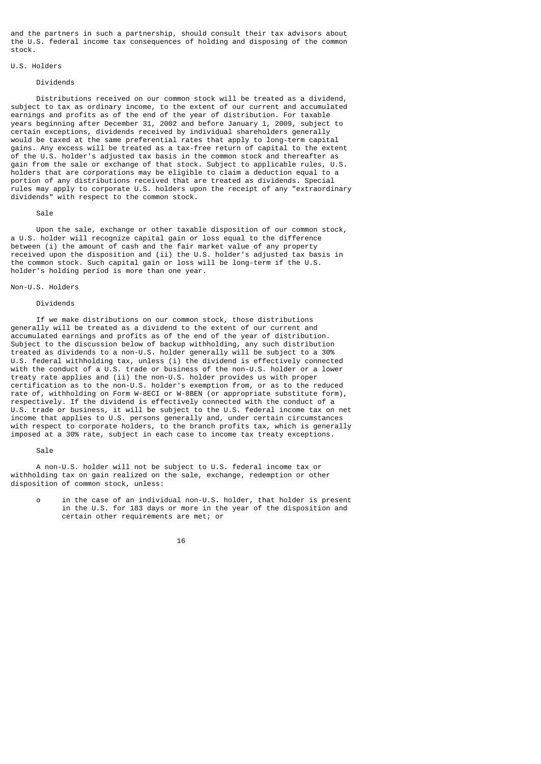and the partners in such a partnership, should consult their tax advisors about the U.S. federal income tax consequences of holding and disposing of the common stock.

#### U.S. Holders

#### Dividends

 Distributions received on our common stock will be treated as a dividend, subject to tax as ordinary income, to the extent of our current and accumulated earnings and profits as of the end of the year of distribution. For taxable years beginning after December 31, 2002 and before January 1, 2009, subject to certain exceptions, dividends received by individual shareholders generally would be taxed at the same preferential rates that apply to long-term capital gains. Any excess will be treated as a tax-free return of capital to the extent of the U.S. holder's adjusted tax basis in the common stock and thereafter as gain from the sale or exchange of that stock. Subject to applicable rules, U.S. holders that are corporations may be eligible to claim a deduction equal to a portion of any distributions received that are treated as dividends. Special rules may apply to corporate U.S. holders upon the receipt of any "extraordinary dividends" with respect to the common stock.

#### Sale

 Upon the sale, exchange or other taxable disposition of our common stock, a U.S. holder will recognize capital gain or loss equal to the difference between (i) the amount of cash and the fair market value of any property received upon the disposition and (ii) the U.S. holder's adjusted tax basis in the common stock. Such capital gain or loss will be long-term if the U.S. holder's holding period is more than one year.

## Non-U.S. Holders

# Dividends

 If we make distributions on our common stock, those distributions generally will be treated as a dividend to the extent of our current and accumulated earnings and profits as of the end of the year of distribution. Subject to the discussion below of backup withholding, any such distribution treated as dividends to a non-U.S. holder generally will be subject to a 30% U.S. federal withholding tax, unless (i) the dividend is effectively connected with the conduct of a U.S. trade or business of the non-U.S. holder or a lower treaty rate applies and (ii) the non-U.S. holder provides us with proper certification as to the non-U.S. holder's exemption from, or as to the reduced rate of, withholding on Form W-8ECI or W-8BEN (or appropriate substitute form), respectively. If the dividend is effectively connected with the conduct of a U.S. trade or business, it will be subject to the U.S. federal income tax on net income that applies to U.S. persons generally and, under certain circumstances with respect to corporate holders, to the branch profits tax, which is generally imposed at a 30% rate, subject in each case to income tax treaty exceptions.

#### Sale

 A non-U.S. holder will not be subject to U.S. federal income tax or withholding tax on gain realized on the sale, exchange, redemption or other disposition of common stock, unless:

 o in the case of an individual non-U.S. holder, that holder is present in the U.S. for 183 days or more in the year of the disposition and certain other requirements are met; or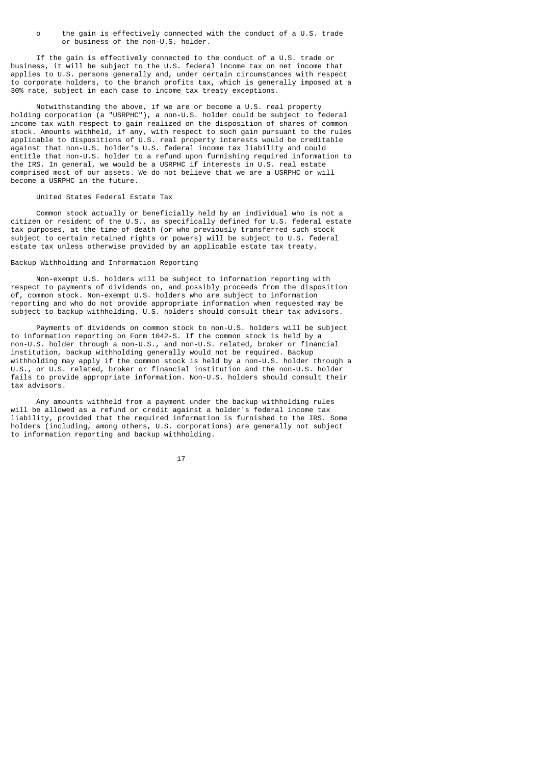o the gain is effectively connected with the conduct of a U.S. trade or business of the non-U.S. holder.

 If the gain is effectively connected to the conduct of a U.S. trade or business, it will be subject to the U.S. federal income tax on net income that applies to U.S. persons generally and, under certain circumstances with respect to corporate holders, to the branch profits tax, which is generally imposed at a 30% rate, subject in each case to income tax treaty exceptions.

 Notwithstanding the above, if we are or become a U.S. real property holding corporation (a "USRPHC"), a non-U.S. holder could be subject to federal income tax with respect to gain realized on the disposition of shares of common stock. Amounts withheld, if any, with respect to such gain pursuant to the rules applicable to dispositions of U.S. real property interests would be creditable against that non-U.S. holder's U.S. federal income tax liability and could entitle that non-U.S. holder to a refund upon furnishing required information to the IRS. In general, we would be a USRPHC if interests in U.S. real estate comprised most of our assets. We do not believe that we are a USRPHC or will become a USRPHC in the future.

## United States Federal Estate Tax

 Common stock actually or beneficially held by an individual who is not a citizen or resident of the U.S., as specifically defined for U.S. federal estate tax purposes, at the time of death (or who previously transferred such stock subject to certain retained rights or powers) will be subject to U.S. federal estate tax unless otherwise provided by an applicable estate tax treaty.

## Backup Withholding and Information Reporting

 Non-exempt U.S. holders will be subject to information reporting with respect to payments of dividends on, and possibly proceeds from the disposition of, common stock. Non-exempt U.S. holders who are subject to information reporting and who do not provide appropriate information when requested may be subject to backup withholding. U.S. holders should consult their tax advisors.

 Payments of dividends on common stock to non-U.S. holders will be subject to information reporting on Form 1042-S. If the common stock is held by a non-U.S. holder through a non-U.S., and non-U.S. related, broker or financial institution, backup withholding generally would not be required. Backup withholding may apply if the common stock is held by a non-U.S. holder through a U.S., or U.S. related, broker or financial institution and the non-U.S. holder fails to provide appropriate information. Non-U.S. holders should consult their tax advisors.

 Any amounts withheld from a payment under the backup withholding rules will be allowed as a refund or credit against a holder's federal income tax liability, provided that the required information is furnished to the IRS. Some holders (including, among others, U.S. corporations) are generally not subject to information reporting and backup withholding.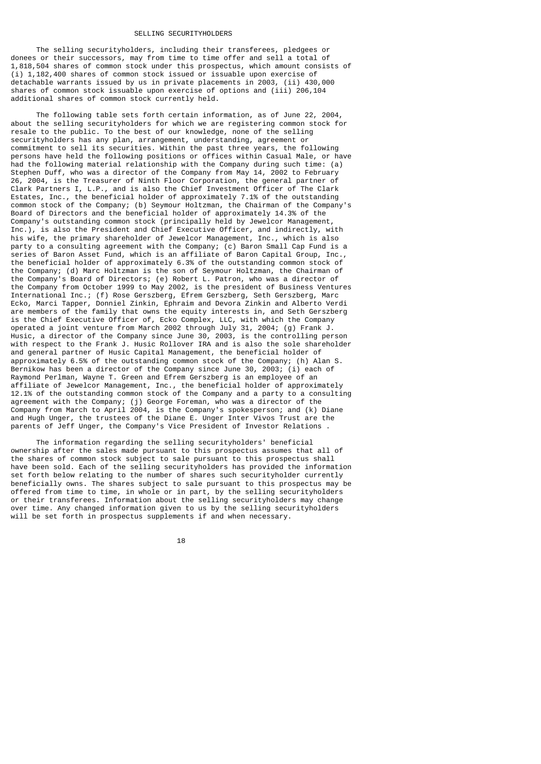### SELLING SECURITYHOLDERS

 The selling securityholders, including their transferees, pledgees or donees or their successors, may from time to time offer and sell a total of 1,818,504 shares of common stock under this prospectus, which amount consists of  $(i)$  1,182,400 shares of common stock issued or issuable upon exercise of detachable warrants issued by us in private placements in 2003, (ii) 430,000 shares of common stock issuable upon exercise of options and (iii) 206,104 additional shares of common stock currently held.

 The following table sets forth certain information, as of June 22, 2004, about the selling securityholders for which we are registering common stock for resale to the public. To the best of our knowledge, none of the selling securityholders has any plan, arrangement, understanding, agreement or commitment to sell its securities. Within the past three years, the following persons have held the following positions or offices within Casual Male, or have had the following material relationship with the Company during such time: (a) Stephen Duff, who was a director of the Company from May 14, 2002 to February 26, 2004, is the Treasurer of Ninth Floor Corporation, the general partner of Clark Partners I, L.P., and is also the Chief Investment Officer of The Clark Estates, Inc., the beneficial holder of approximately 7.1% of the outstanding common stock of the Company; (b) Seymour Holtzman, the Chairman of the Company's Board of Directors and the beneficial holder of approximately 14.3% of the Company's outstanding common stock (principally held by Jewelcor Management, Inc.), is also the President and Chief Executive Officer, and indirectly, with his wife, the primary shareholder of Jewelcor Management, Inc., which is also party to a consulting agreement with the Company; (c) Baron Small Cap Fund is a series of Baron Asset Fund, which is an affiliate of Baron Capital Group, Inc., the beneficial holder of approximately 6.3% of the outstanding common stock of the Company; (d) Marc Holtzman is the son of Seymour Holtzman, the Chairman of the Company's Board of Directors; (e) Robert L. Patron, who was a director of the Company from October 1999 to May 2002, is the president of Business Ventures International Inc.; (f) Rose Gerszberg, Efrem Gerszberg, Seth Gerszberg, Marc Ecko, Marci Tapper, Donniel Zinkin, Ephraim and Devora Zinkin and Alberto Verdi are members of the family that owns the equity interests in, and Seth Gerszberg is the Chief Executive Officer of, Ecko Complex, LLC, with which the Company operated a joint venture from March 2002 through July 31, 2004; (g) Frank J. Husic, a director of the Company since June 30, 2003, is the controlling person with respect to the Frank J. Husic Rollover IRA and is also the sole shareholder and general partner of Husic Capital Management, the beneficial holder of approximately 6.5% of the outstanding common stock of the Company; (h) Alan S. Bernikow has been a director of the Company since June 30, 2003; (i) each of Raymond Perlman, Wayne T. Green and Efrem Gerszberg is an employee of an affiliate of Jewelcor Management, Inc., the beneficial holder of approximately 12.1% of the outstanding common stock of the Company and a party to a consulting agreement with the Company; (j) George Foreman, who was a director of the Company from March to April 2004, is the Company's spokesperson; and (k) Diane and Hugh Unger, the trustees of the Diane E. Unger Inter Vivos Trust are the parents of Jeff Unger, the Company's Vice President of Investor Relations .

 The information regarding the selling securityholders' beneficial ownership after the sales made pursuant to this prospectus assumes that all of the shares of common stock subject to sale pursuant to this prospectus shall have been sold. Each of the selling securityholders has provided the information set forth below relating to the number of shares such securityholder currently beneficially owns. The shares subject to sale pursuant to this prospectus may be offered from time to time, in whole or in part, by the selling securityholders or their transferees. Information about the selling securityholders may change over time. Any changed information given to us by the selling securityholders will be set forth in prospectus supplements if and when necessary.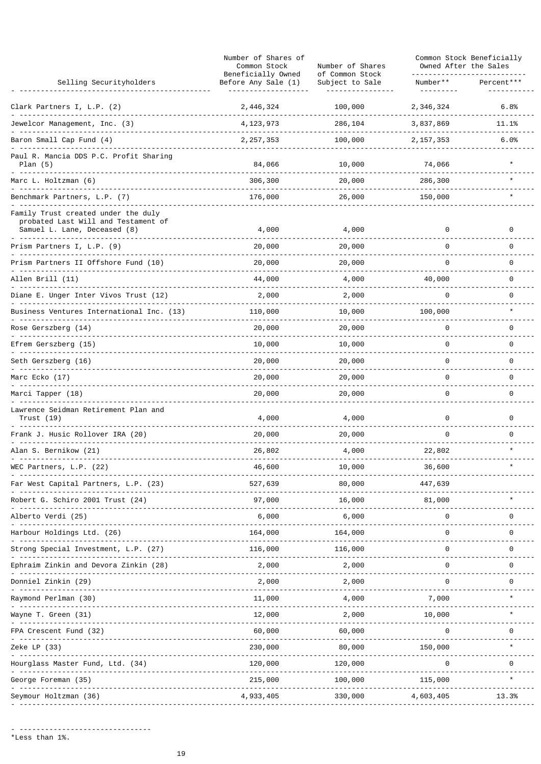|                                                                                                            | Number of Shares of<br>Common Stock<br>Beneficially Owned | Number of Shares<br>of Common Stock | Common Stock Beneficially<br>Owned After the Sales |            |
|------------------------------------------------------------------------------------------------------------|-----------------------------------------------------------|-------------------------------------|----------------------------------------------------|------------|
| Selling Securityholders                                                                                    | Before Any Sale (1)                                       | Subject to Sale                     | Number**                                           | Percent*** |
| Clark Partners I, L.P. (2)                                                                                 | 2, 446, 324                                               | 100,000                             | 2, 346, 324                                        | 6.8%       |
| Jewelcor Management, Inc. (3)                                                                              | 4, 123, 973                                               | 286,104                             | 3,837,869                                          | 11.1%      |
| Baron Small Cap Fund (4)                                                                                   | 2, 257, 353                                               | 100,000                             | 2, 157, 353                                        | 6.0%       |
| Paul R. Mancia DDS P.C. Profit Sharing<br>Plan $(5)$                                                       | 84,066                                                    | 10,000                              | 74,066                                             |            |
| Marc L. Holtzman (6)                                                                                       | 306,300                                                   | 20,000                              | 286,300                                            |            |
| Benchmark Partners, L.P. (7)                                                                               | 176,000                                                   | 26,000                              | 150,000                                            |            |
| Family Trust created under the duly<br>probated Last Will and Testament of<br>Samuel L. Lane, Deceased (8) | 4,000                                                     | 4,000                               | 0                                                  | 0          |
| Prism Partners I, L.P. (9)                                                                                 | 20,000                                                    | 20,000                              | 0                                                  | 0          |
| Prism Partners II Offshore Fund (10)                                                                       | 20,000                                                    | 20,000                              | 0                                                  | 0          |
| Allen Brill (11)                                                                                           | 44,000                                                    | 4,000                               | 40,000                                             | 0          |
| Diane E. Unger Inter Vivos Trust (12)                                                                      | 2,000                                                     | 2,000                               | 0                                                  | 0          |
| Business Ventures International Inc. (13)                                                                  | 110,000                                                   | 10,000                              | 100,000                                            | $\star$    |
| Rose Gerszberg (14)                                                                                        | 20,000                                                    | 20,000                              | 0                                                  | 0          |
| Efrem Gerszberg (15)                                                                                       | 10,000                                                    | 10,000                              | 0                                                  | 0          |
| Seth Gerszberg (16)                                                                                        | 20,000                                                    | 20,000                              | 0                                                  | 0          |
| Marc Ecko (17)                                                                                             | 20,000                                                    | 20,000                              | 0                                                  | 0          |
| Marci Tapper (18)                                                                                          | 20,000                                                    | 20,000                              | 0                                                  | 0          |
| Lawrence Seidman Retirement Plan and<br>Trust (19)                                                         | 4,000                                                     | 4,000                               | 0                                                  | 0          |
| Frank J. Husic Rollover IRA (20)                                                                           | 20,000                                                    | 20,000                              | 0                                                  | 0          |
| Alan S. Bernikow (21)                                                                                      | 26,802                                                    | 4,000                               | 22,802                                             |            |
| WEC Partners, L.P. (22)                                                                                    | 46,600                                                    | 10,000                              | 36,600                                             |            |
| Far West Capital Partners, L.P. (23)                                                                       | 527,639                                                   | 80,000                              | 447,639                                            |            |
| G. Schiro 2001 Trust (24)                                                                                  | 97,000                                                    | 16,000                              | 81,000                                             |            |
| Alberto Verdi (25)                                                                                         | 6,000                                                     | 6,000                               | 0                                                  | 0          |
| Iarbour Holdings Ltd. (26)                                                                                 | 164,000                                                   | 164,000                             | 0                                                  | 0          |
| Strong Special Investment, L.P. (27)                                                                       | 116,000                                                   | 116,000                             | 0                                                  | 0          |
| phraim Zinkin and Devora Zinkin (28)                                                                       | 2,000                                                     | 2,000                               | 0                                                  | 0          |
| Donniel Zinkin (29)                                                                                        | 2,000                                                     | 2,000                               | 0                                                  | 0          |
| Raymond Perlman (30)                                                                                       | 11,000                                                    | 4,000                               | 7,000                                              |            |
| Wayne T. Green (31)                                                                                        | 12,000                                                    | 2,000                               | 10,000                                             |            |
| ⊦PA Crescent Fund (32)                                                                                     | 60,000                                                    | 60,000                              | 0                                                  | 0          |
| Zeke LP (33)                                                                                               | 230,000                                                   | 80,000                              | 150,000                                            |            |
| Hourglass Master Fund, Ltd. (34)                                                                           | 120,000                                                   | 120,000                             | 0                                                  | 0          |
| George Foreman (35)                                                                                        | 215,000                                                   | 100,000                             | 115,000                                            |            |
| Seymour Holtzman (36)                                                                                      | 4,933,405                                                 | 330,000                             | 4,603,405                                          | 13.3%      |
|                                                                                                            |                                                           |                                     |                                                    |            |

- -------------------------------<br>\*Less than 1%.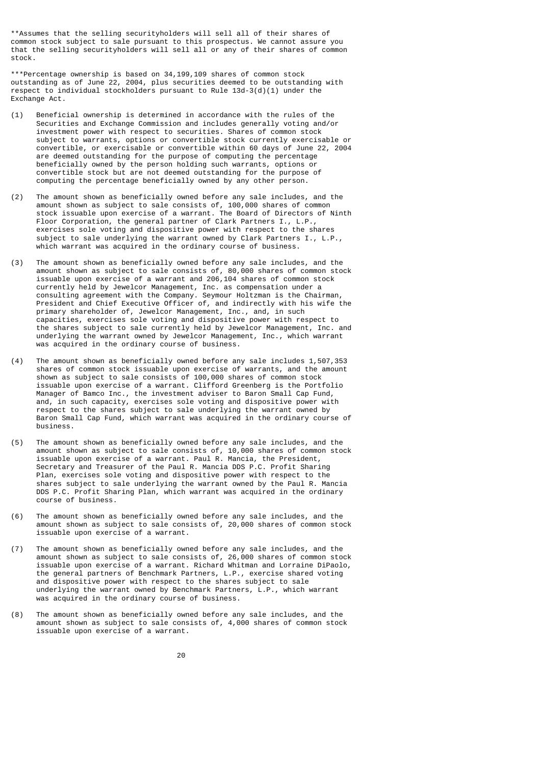\*\*Assumes that the selling securityholders will sell all of their shares of common stock subject to sale pursuant to this prospectus. We cannot assure you that the selling securityholders will sell all or any of their shares of common stock.

\*\*\*Percentage ownership is based on 34,199,109 shares of common stock outstanding as of June 22, 2004, plus securities deemed to be outstanding with respect to individual stockholders pursuant to Rule  $13d-3(d)(1)$  under the Exchange Act.

- (1) Beneficial ownership is determined in accordance with the rules of the Securities and Exchange Commission and includes generally voting and/or investment power with respect to securities. Shares of common stock subject to warrants, options or convertible stock currently exercisable or convertible, or exercisable or convertible within 60 days of June 22, 2004 are deemed outstanding for the purpose of computing the percentage beneficially owned by the person holding such warrants, options or convertible stock but are not deemed outstanding for the purpose of computing the percentage beneficially owned by any other person.
- (2) The amount shown as beneficially owned before any sale includes, and the amount shown as subject to sale consists of, 100,000 shares of common stock issuable upon exercise of a warrant. The Board of Directors of Ninth Floor Corporation, the general partner of Clark Partners I., L.P., exercises sole voting and dispositive power with respect to the shares subject to sale underlying the warrant owned by Clark Partners I., L.P., which warrant was acquired in the ordinary course of business.
- (3) The amount shown as beneficially owned before any sale includes, and the amount shown as subject to sale consists of, 80,000 shares of common stock issuable upon exercise of a warrant and 206,104 shares of common stock currently held by Jewelcor Management, Inc. as compensation under a consulting agreement with the Company. Seymour Holtzman is the Chairman, President and Chief Executive Officer of, and indirectly with his wife the primary shareholder of, Jewelcor Management, Inc., and, in such capacities, exercises sole voting and dispositive power with respect to the shares subject to sale currently held by Jewelcor Management, Inc. and underlying the warrant owned by Jewelcor Management, Inc., which warrant was acquired in the ordinary course of business.
- (4) The amount shown as beneficially owned before any sale includes 1,507,353 shares of common stock issuable upon exercise of warrants, and the amount shown as subject to sale consists of 100,000 shares of common stock issuable upon exercise of a warrant. Clifford Greenberg is the Portfolio Manager of Bamco Inc., the investment adviser to Baron Small Cap Fund, and, in such capacity, exercises sole voting and dispositive power with respect to the shares subject to sale underlying the warrant owned by Baron Small Cap Fund, which warrant was acquired in the ordinary course of business.
- (5) The amount shown as beneficially owned before any sale includes, and the amount shown as subject to sale consists of, 10,000 shares of common stock issuable upon exercise of a warrant. Paul R. Mancia, the President, Secretary and Treasurer of the Paul R. Mancia DDS P.C. Profit Sharing Plan, exercises sole voting and dispositive power with respect to the shares subject to sale underlying the warrant owned by the Paul R. Mancia DDS P.C. Profit Sharing Plan, which warrant was acquired in the ordinary course of business.
- (6) The amount shown as beneficially owned before any sale includes, and the amount shown as subject to sale consists of, 20,000 shares of common stock issuable upon exercise of a warrant.
- (7) The amount shown as beneficially owned before any sale includes, and the amount shown as subject to sale consists of, 26,000 shares of common stock issuable upon exercise of a warrant. Richard Whitman and Lorraine DiPaolo, the general partners of Benchmark Partners, L.P., exercise shared voting and dispositive power with respect to the shares subject to sale underlying the warrant owned by Benchmark Partners, L.P., which warrant was acquired in the ordinary course of business.
- (8) The amount shown as beneficially owned before any sale includes, and the amount shown as subject to sale consists of, 4,000 shares of common stock issuable upon exercise of a warrant.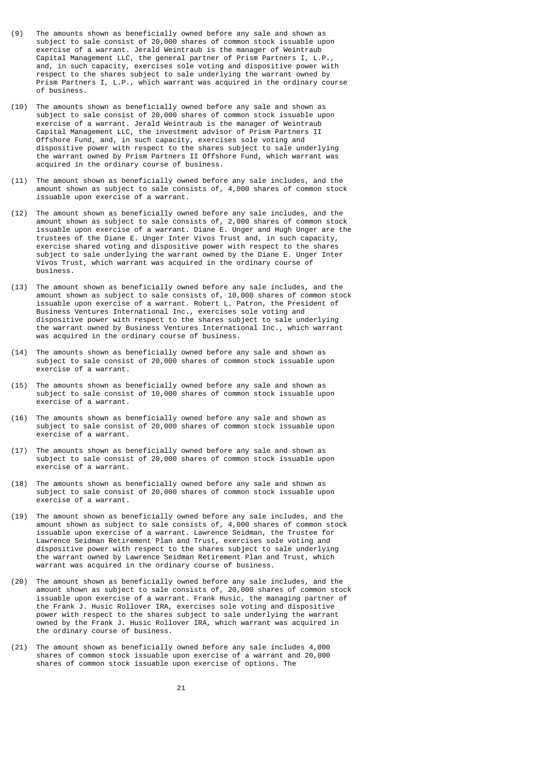- (9) The amounts shown as beneficially owned before any sale and shown as subject to sale consist of 20,000 shares of common stock issuable upon exercise of a warrant. Jerald Weintraub is the manager of Weintraub Capital Management LLC, the general partner of Prism Partners I, L.P., and, in such capacity, exercises sole voting and dispositive power with respect to the shares subject to sale underlying the warrant owned by Prism Partners I, L.P., which warrant was acquired in the ordinary course of business.
- (10) The amounts shown as beneficially owned before any sale and shown as subject to sale consist of 20,000 shares of common stock issuable upon exercise of a warrant. Jerald Weintraub is the manager of Weintraub Capital Management LLC, the investment advisor of Prism Partners II Offshore Fund, and, in such capacity, exercises sole voting and dispositive power with respect to the shares subject to sale underlying the warrant owned by Prism Partners II Offshore Fund, which warrant was acquired in the ordinary course of business.
- (11) The amount shown as beneficially owned before any sale includes, and the amount shown as subject to sale consists of, 4,000 shares of common stock issuable upon exercise of a warrant.
- (12) The amount shown as beneficially owned before any sale includes, and the amount shown as subject to sale consists of, 2,000 shares of common stock issuable upon exercise of a warrant. Diane E. Unger and Hugh Unger are the trustees of the Diane E. Unger Inter Vivos Trust and, in such capacity, exercise shared voting and dispositive power with respect to the shares subject to sale underlying the warrant owned by the Diane E. Unger Inter Vivos Trust, which warrant was acquired in the ordinary course of business.
- (13) The amount shown as beneficially owned before any sale includes, and the amount shown as subject to sale consists of, 10,000 shares of common stock issuable upon exercise of a warrant. Robert L. Patron, the President of Business Ventures International Inc., exercises sole voting and dispositive power with respect to the shares subject to sale underlying the warrant owned by Business Ventures International Inc., which warrant was acquired in the ordinary course of business.
- (14) The amounts shown as beneficially owned before any sale and shown as subject to sale consist of 20,000 shares of common stock issuable upon exercise of a warrant.
- (15) The amounts shown as beneficially owned before any sale and shown as subject to sale consist of 10,000 shares of common stock issuable upon exercise of a warrant.
- (16) The amounts shown as beneficially owned before any sale and shown as subject to sale consist of 20,000 shares of common stock issuable upon exercise of a warrant.
- (17) The amounts shown as beneficially owned before any sale and shown as subject to sale consist of 20,000 shares of common stock issuable upon exercise of a warrant.
- (18) The amounts shown as beneficially owned before any sale and shown as subject to sale consist of 20,000 shares of common stock issuable upon exercise of a warrant.
- (19) The amount shown as beneficially owned before any sale includes, and the amount shown as subject to sale consists of, 4,000 shares of common stock issuable upon exercise of a warrant. Lawrence Seidman, the Trustee for Lawrence Seidman Retirement Plan and Trust, exercises sole voting and dispositive power with respect to the shares subject to sale underlying the warrant owned by Lawrence Seidman Retirement Plan and Trust, which warrant was acquired in the ordinary course of business.
- (20) The amount shown as beneficially owned before any sale includes, and the amount shown as subject to sale consists of, 20,000 shares of common stock issuable upon exercise of a warrant. Frank Husic, the managing partner of the Frank J. Husic Rollover IRA, exercises sole voting and dispositive power with respect to the shares subject to sale underlying the warrant owned by the Frank J. Husic Rollover IRA, which warrant was acquired in the ordinary course of business.
- (21) The amount shown as beneficially owned before any sale includes 4,000 shares of common stock issuable upon exercise of a warrant and 20,000 shares of common stock issuable upon exercise of options. The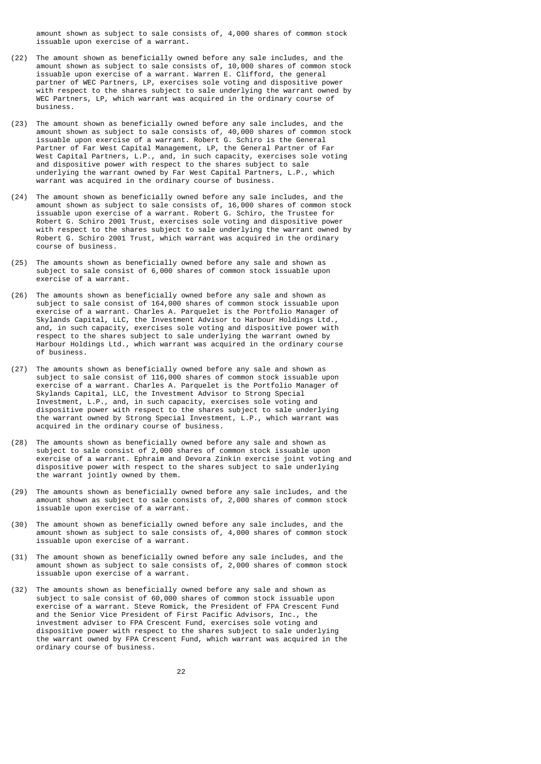amount shown as subject to sale consists of, 4,000 shares of common stock issuable upon exercise of a warrant.

- (22) The amount shown as beneficially owned before any sale includes, and the amount shown as subject to sale consists of, 10,000 shares of common stock issuable upon exercise of a warrant. Warren E. Clifford, the general partner of WEC Partners, LP, exercises sole voting and dispositive power with respect to the shares subject to sale underlying the warrant owned by WEC Partners, LP, which warrant was acquired in the ordinary course of business.
- (23) The amount shown as beneficially owned before any sale includes, and the amount shown as subject to sale consists of, 40,000 shares of common stock issuable upon exercise of a warrant. Robert G. Schiro is the General Partner of Far West Capital Management, LP, the General Partner of Far West Capital Partners, L.P., and, in such capacity, exercises sole voting and dispositive power with respect to the shares subject to sale underlying the warrant owned by Far West Capital Partners, L.P., which warrant was acquired in the ordinary course of business.
- (24) The amount shown as beneficially owned before any sale includes, and the amount shown as subject to sale consists of, 16,000 shares of common stock issuable upon exercise of a warrant. Robert G. Schiro, the Trustee for Robert G. Schiro 2001 Trust, exercises sole voting and dispositive power with respect to the shares subject to sale underlying the warrant owned by Robert G. Schiro 2001 Trust, which warrant was acquired in the ordinary course of business.
- (25) The amounts shown as beneficially owned before any sale and shown as subject to sale consist of 6,000 shares of common stock issuable upon exercise of a warrant.
- (26) The amounts shown as beneficially owned before any sale and shown as subject to sale consist of 164,000 shares of common stock issuable upon exercise of a warrant. Charles A. Parquelet is the Portfolio Manager of Skylands Capital, LLC, the Investment Advisor to Harbour Holdings Ltd., and, in such capacity, exercises sole voting and dispositive power with respect to the shares subject to sale underlying the warrant owned by Harbour Holdings Ltd., which warrant was acquired in the ordinary course of business.
- (27) The amounts shown as beneficially owned before any sale and shown as subject to sale consist of 116,000 shares of common stock issuable upon exercise of a warrant. Charles A. Parquelet is the Portfolio Manager of Skylands Capital, LLC, the Investment Advisor to Strong Special Investment, L.P., and, in such capacity, exercises sole voting and dispositive power with respect to the shares subject to sale underlying the warrant owned by Strong Special Investment, L.P., which warrant was acquired in the ordinary course of business.
- (28) The amounts shown as beneficially owned before any sale and shown as subject to sale consist of 2,000 shares of common stock issuable upon exercise of a warrant. Ephraim and Devora Zinkin exercise joint voting and dispositive power with respect to the shares subject to sale underlying the warrant jointly owned by them.
- (29) The amounts shown as beneficially owned before any sale includes, and the amount shown as subject to sale consists of, 2,000 shares of common stock issuable upon exercise of a warrant.
- (30) The amount shown as beneficially owned before any sale includes, and the amount shown as subject to sale consists of, 4,000 shares of common stock issuable upon exercise of a warrant.
- (31) The amount shown as beneficially owned before any sale includes, and the amount shown as subject to sale consists of, 2,000 shares of common stock issuable upon exercise of a warrant.
- (32) The amounts shown as beneficially owned before any sale and shown as subject to sale consist of 60,000 shares of common stock issuable upon exercise of a warrant. Steve Romick, the President of FPA Crescent Fund and the Senior Vice President of First Pacific Advisors, Inc., the investment adviser to FPA Crescent Fund, exercises sole voting and dispositive power with respect to the shares subject to sale underlying the warrant owned by FPA Crescent Fund, which warrant was acquired in the ordinary course of business.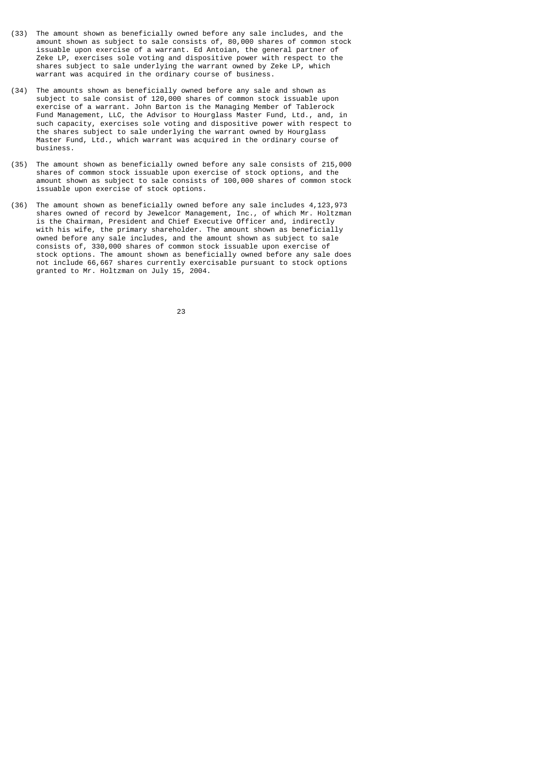- (33) The amount shown as beneficially owned before any sale includes, and the amount shown as subject to sale consists of, 80,000 shares of common stock issuable upon exercise of a warrant. Ed Antoian, the general partner of Zeke LP, exercises sole voting and dispositive power with respect to the shares subject to sale underlying the warrant owned by Zeke LP, which warrant was acquired in the ordinary course of business.
- (34) The amounts shown as beneficially owned before any sale and shown as subject to sale consist of 120,000 shares of common stock issuable upon exercise of a warrant. John Barton is the Managing Member of Tablerock Fund Management, LLC, the Advisor to Hourglass Master Fund, Ltd., and, in such capacity, exercises sole voting and dispositive power with respect to the shares subject to sale underlying the warrant owned by Hourglass Master Fund, Ltd., which warrant was acquired in the ordinary course of business.
- (35) The amount shown as beneficially owned before any sale consists of 215,000 shares of common stock issuable upon exercise of stock options, and the amount shown as subject to sale consists of 100,000 shares of common stock issuable upon exercise of stock options.
- (36) The amount shown as beneficially owned before any sale includes 4,123,973 shares owned of record by Jewelcor Management, Inc., of which Mr. Holtzman is the Chairman, President and Chief Executive Officer and, indirectly with his wife, the primary shareholder. The amount shown as beneficially owned before any sale includes, and the amount shown as subject to sale consists of, 330,000 shares of common stock issuable upon exercise of stock options. The amount shown as beneficially owned before any sale does not include 66,667 shares currently exercisable pursuant to stock options granted to Mr. Holtzman on July 15, 2004.

<u>23 and 23 and 23 and 23 and 23 and 23 and 23 and 23 and 23 and 23 and 23 and 23 and 23 and 23 and 23 and 23 and 23 and 23 and 23 and 23 and 23 and 23 and 23 and 23 and 23 and 23 and 23 and 23 and 23 and 23 and 23 and 23 a</u>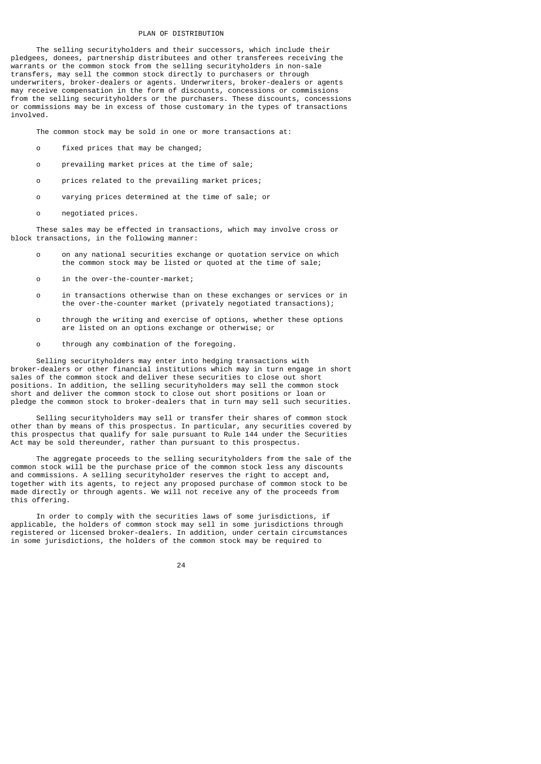### PLAN OF DISTRIBUTION

 The selling securityholders and their successors, which include their pledgees, donees, partnership distributees and other transferees receiving the warrants or the common stock from the selling securityholders in non-sale transfers, may sell the common stock directly to purchasers or through underwriters, broker-dealers or agents. Underwriters, broker-dealers or agents may receive compensation in the form of discounts, concessions or commissions from the selling securityholders or the purchasers. These discounts, concessions or commissions may be in excess of those customary in the types of transactions involved.

The common stock may be sold in one or more transactions at:

- o fixed prices that may be changed;
- o prevailing market prices at the time of sale;
- o prices related to the prevailing market prices;
- o varying prices determined at the time of sale; or
- o negotiated prices.

 These sales may be effected in transactions, which may involve cross or block transactions, in the following manner:

- o on any national securities exchange or quotation service on which the common stock may be listed or quoted at the time of sale;
- o in the over-the-counter-market;
- o in transactions otherwise than on these exchanges or services or in the over-the-counter market (privately negotiated transactions);
- o through the writing and exercise of options, whether these options are listed on an options exchange or otherwise; or
- o through any combination of the foregoing.

 Selling securityholders may enter into hedging transactions with broker-dealers or other financial institutions which may in turn engage in short sales of the common stock and deliver these securities to close out short positions. In addition, the selling securityholders may sell the common stock short and deliver the common stock to close out short positions or loan or pledge the common stock to broker-dealers that in turn may sell such securities.

 Selling securityholders may sell or transfer their shares of common stock other than by means of this prospectus. In particular, any securities covered by this prospectus that qualify for sale pursuant to Rule 144 under the Securities Act may be sold thereunder, rather than pursuant to this prospectus.

 The aggregate proceeds to the selling securityholders from the sale of the common stock will be the purchase price of the common stock less any discounts and commissions. A selling securityholder reserves the right to accept and, together with its agents, to reject any proposed purchase of common stock to be made directly or through agents. We will not receive any of the proceeds from this offering.

 In order to comply with the securities laws of some jurisdictions, if applicable, the holders of common stock may sell in some jurisdictions through registered or licensed broker-dealers. In addition, under certain circumstances in some jurisdictions, the holders of the common stock may be required to

<u>24</u>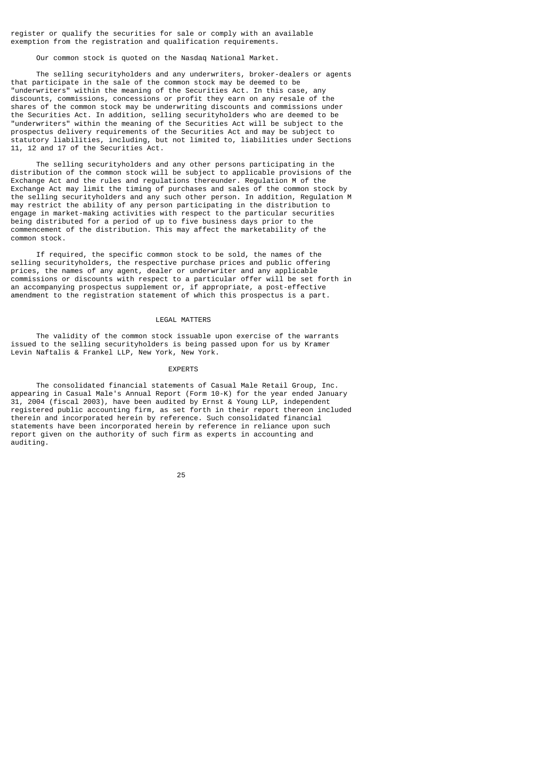register or qualify the securities for sale or comply with an available exemption from the registration and qualification requirements.

Our common stock is quoted on the Nasdaq National Market.

 The selling securityholders and any underwriters, broker-dealers or agents that participate in the sale of the common stock may be deemed to be "underwriters" within the meaning of the Securities Act. In this case, any discounts, commissions, concessions or profit they earn on any resale of the shares of the common stock may be underwriting discounts and commissions under the Securities Act. In addition, selling securityholders who are deemed to be "underwriters" within the meaning of the Securities Act will be subject to the prospectus delivery requirements of the Securities Act and may be subject to statutory liabilities, including, but not limited to, liabilities under Sections 11, 12 and 17 of the Securities Act.

 The selling securityholders and any other persons participating in the distribution of the common stock will be subject to applicable provisions of the Exchange Act and the rules and regulations thereunder. Regulation M of the Exchange Act may limit the timing of purchases and sales of the common stock by the selling securityholders and any such other person. In addition, Regulation M may restrict the ability of any person participating in the distribution to engage in market-making activities with respect to the particular securities being distributed for a period of up to five business days prior to the commencement of the distribution. This may affect the marketability of the common stock.

 If required, the specific common stock to be sold, the names of the selling securityholders, the respective purchase prices and public offering prices, the names of any agent, dealer or underwriter and any applicable commissions or discounts with respect to a particular offer will be set forth in an accompanying prospectus supplement or, if appropriate, a post-effective amendment to the registration statement of which this prospectus is a part.

#### LEGAL MATTERS

 The validity of the common stock issuable upon exercise of the warrants issued to the selling securityholders is being passed upon for us by Kramer Levin Naftalis & Frankel LLP, New York, New York.

#### EXPERTS

 The consolidated financial statements of Casual Male Retail Group, Inc. appearing in Casual Male's Annual Report (Form 10-K) for the year ended January 31, 2004 (fiscal 2003), have been audited by Ernst & Young LLP, independent registered public accounting firm, as set forth in their report thereon included therein and incorporated herein by reference. Such consolidated financial statements have been incorporated herein by reference in reliance upon such report given on the authority of such firm as experts in accounting and auditing.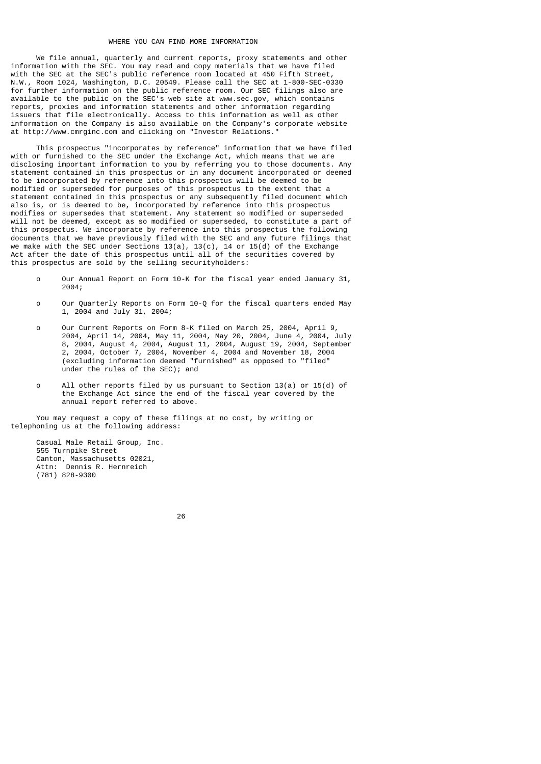#### WHERE YOU CAN FIND MORE INFORMATION

 We file annual, quarterly and current reports, proxy statements and other information with the SEC. You may read and copy materials that we have filed with the SEC at the SEC's public reference room located at 450 Fifth Street, N.W., Room 1024, Washington, D.C. 20549. Please call the SEC at 1-800-SEC-0330 for further information on the public reference room. Our SEC filings also are available to the public on the SEC's web site at www.sec.gov, which contains reports, proxies and information statements and other information regarding issuers that file electronically. Access to this information as well as other information on the Company is also available on the Company's corporate website at http://www.cmrginc.com and clicking on "Investor Relations."

 This prospectus "incorporates by reference" information that we have filed with or furnished to the SEC under the Exchange Act, which means that we are disclosing important information to you by referring you to those documents. Any statement contained in this prospectus or in any document incorporated or deemed to be incorporated by reference into this prospectus will be deemed to be modified or superseded for purposes of this prospectus to the extent that a statement contained in this prospectus or any subsequently filed document which also is, or is deemed to be, incorporated by reference into this prospectus modifies or supersedes that statement. Any statement so modified or superseded will not be deemed, except as so modified or superseded, to constitute a part of this prospectus. We incorporate by reference into this prospectus the following documents that we have previously filed with the SEC and any future filings that we make with the SEC under Sections 13(a), 13(c), 14 or 15(d) of the Exchange Act after the date of this prospectus until all of the securities covered by this prospectus are sold by the selling securityholders:

- o Our Annual Report on Form 10-K for the fiscal year ended January 31, 2004;
- o Our Quarterly Reports on Form 10-Q for the fiscal quarters ended May 1, 2004 and July 31, 2004;
- o Our Current Reports on Form 8-K filed on March 25, 2004, April 9, 2004, April 14, 2004, May 11, 2004, May 20, 2004, June 4, 2004, July 8, 2004, August 4, 2004, August 11, 2004, August 19, 2004, September 2, 2004, October 7, 2004, November 4, 2004 and November 18, 2004 (excluding information deemed "furnished" as opposed to "filed" under the rules of the SEC); and
	- o All other reports filed by us pursuant to Section 13(a) or 15(d) of the Exchange Act since the end of the fiscal year covered by the annual report referred to above.

 You may request a copy of these filings at no cost, by writing or telephoning us at the following address:

 Casual Male Retail Group, Inc. 555 Turnpike Street Canton, Massachusetts 02021, Attn: Dennis R. Hernreich (781) 828-9300

<u>26 and 26</u>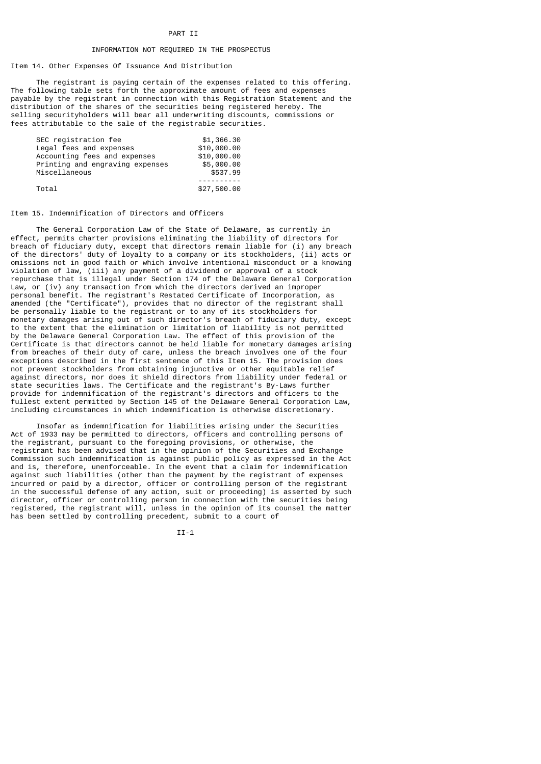## PART II

#### INFORMATION NOT REQUIRED IN THE PROSPECTUS

Item 14. Other Expenses Of Issuance And Distribution

 The registrant is paying certain of the expenses related to this offering. The following table sets forth the approximate amount of fees and expenses payable by the registrant in connection with this Registration Statement and the distribution of the shares of the securities being registered hereby. The selling securityholders will bear all underwriting discounts, commissions or fees attributable to the sale of the registrable securities.

| SEC registration fee            | \$1,366.30  |
|---------------------------------|-------------|
| Legal fees and expenses         | \$10,000.00 |
| Accounting fees and expenses    | \$10,000.00 |
| Printing and engraving expenses | \$5,000.00  |
| Miscellaneous                   | \$537.99    |
|                                 |             |
| Total                           | \$27,500.00 |

Item 15. Indemnification of Directors and Officers

 The General Corporation Law of the State of Delaware, as currently in effect, permits charter provisions eliminating the liability of directors for breach of fiduciary duty, except that directors remain liable for (i) any breach of the directors' duty of loyalty to a company or its stockholders, (ii) acts or omissions not in good faith or which involve intentional misconduct or a knowing violation of law, (iii) any payment of a dividend or approval of a stock repurchase that is illegal under Section 174 of the Delaware General Corporation Law, or (iv) any transaction from which the directors derived an improper personal benefit. The registrant's Restated Certificate of Incorporation, as amended (the "Certificate"), provides that no director of the registrant shall be personally liable to the registrant or to any of its stockholders for monetary damages arising out of such director's breach of fiduciary duty, except to the extent that the elimination or limitation of liability is not permitted by the Delaware General Corporation Law. The effect of this provision of the Certificate is that directors cannot be held liable for monetary damages arising from breaches of their duty of care, unless the breach involves one of the four exceptions described in the first sentence of this Item 15. The provision does not prevent stockholders from obtaining injunctive or other equitable relief against directors, nor does it shield directors from liability under federal or state securities laws. The Certificate and the registrant's By-Laws further provide for indemnification of the registrant's directors and officers to the fullest extent permitted by Section 145 of the Delaware General Corporation Law, including circumstances in which indemnification is otherwise discretionary.

 Insofar as indemnification for liabilities arising under the Securities Act of 1933 may be permitted to directors, officers and controlling persons of the registrant, pursuant to the foregoing provisions, or otherwise, the registrant has been advised that in the opinion of the Securities and Exchange Commission such indemnification is against public policy as expressed in the Act and is, therefore, unenforceable. In the event that a claim for indemnification against such liabilities (other than the payment by the registrant of expenses incurred or paid by a director, officer or controlling person of the registrant in the successful defense of any action, suit or proceeding) is asserted by such director, officer or controlling person in connection with the securities being registered, the registrant will, unless in the opinion of its counsel the matter has been settled by controlling precedent, submit to a court of

II-1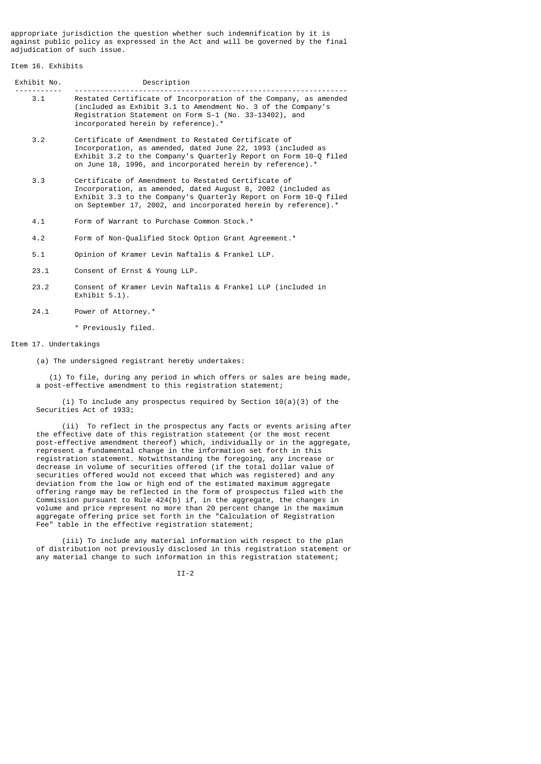appropriate jurisdiction the question whether such indemnification by it is against public policy as expressed in the Act and will be governed by the final adjudication of such issue.

## Item 16. Exhibits

| Exhibit No. | Description                                                                                                                                                                                                                       |
|-------------|-----------------------------------------------------------------------------------------------------------------------------------------------------------------------------------------------------------------------------------|
| 3.1         | Restated Certificate of Incorporation of the Company, as amended<br>(included as Exhibit 3.1 to Amendment No. 3 of the Company's<br>Registration Statement on Form S-1 (No. 33-13402), and<br>incorporated herein by reference).* |

- 3.2 Certificate of Amendment to Restated Certificate of Incorporation, as amended, dated June 22, 1993 (included as Exhibit 3.2 to the Company's Quarterly Report on Form 10-Q filed on June 18, 1996, and incorporated herein by reference).\*
- 3.3 Certificate of Amendment to Restated Certificate of Incorporation, as amended, dated August 8, 2002 (included as Exhibit 3.3 to the Company's Quarterly Report on Form 10-Q filed on September 17, 2002, and incorporated herein by reference).\*
	- 4.1 Form of Warrant to Purchase Common Stock.\*
	- 4.2 Form of Non-Qualified Stock Option Grant Agreement.\*
	- 5.1 Opinion of Kramer Levin Naftalis & Frankel LLP.
	- 23.1 Consent of Ernst & Young LLP.
	- 23.2 Consent of Kramer Levin Naftalis & Frankel LLP (included in Exhibit 5.1).
	- 24.1 Power of Attorney.\*
		- \* Previously filed.

## Item 17. Undertakings

(a) The undersigned registrant hereby undertakes:

 (1) To file, during any period in which offers or sales are being made, a post-effective amendment to this registration statement;

 (i) To include any prospectus required by Section 10(a)(3) of the Securities Act of 1933;

 (ii) To reflect in the prospectus any facts or events arising after the effective date of this registration statement (or the most recent post-effective amendment thereof) which, individually or in the aggregate, represent a fundamental change in the information set forth in this registration statement. Notwithstanding the foregoing, any increase or decrease in volume of securities offered (if the total dollar value of securities offered would not exceed that which was registered) and any deviation from the low or high end of the estimated maximum aggregate offering range may be reflected in the form of prospectus filed with the Commission pursuant to Rule 424(b) if, in the aggregate, the changes in volume and price represent no more than 20 percent change in the maximum aggregate offering price set forth in the "Calculation of Registration Fee" table in the effective registration statement;

 (iii) To include any material information with respect to the plan of distribution not previously disclosed in this registration statement or any material change to such information in this registration statement;

II-2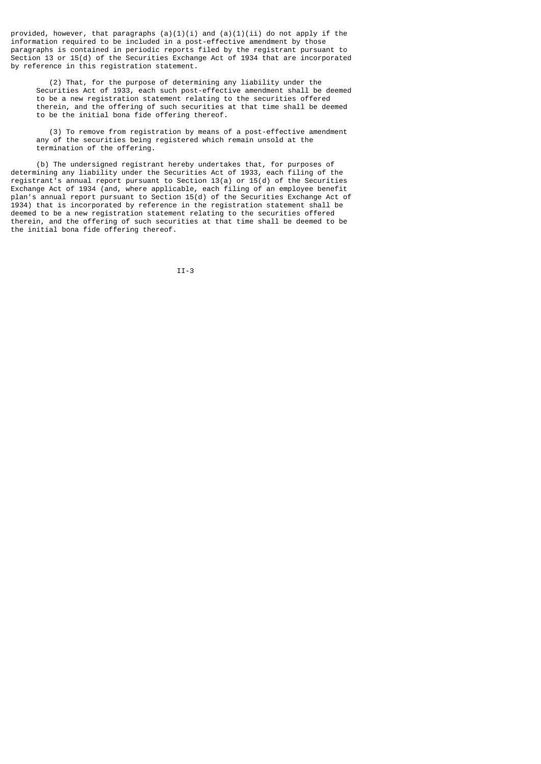provided, however, that paragraphs  $(a)(1)(i)$  and  $(a)(1)(ii)$  do not apply if the information required to be included in a post-effective amendment by those paragraphs is contained in periodic reports filed by the registrant pursuant to Section 13 or 15(d) of the Securities Exchange Act of 1934 that are incorporated by reference in this registration statement.

 (2) That, for the purpose of determining any liability under the Securities Act of 1933, each such post-effective amendment shall be deemed to be a new registration statement relating to the securities offered therein, and the offering of such securities at that time shall be deemed to be the initial bona fide offering thereof.

 (3) To remove from registration by means of a post-effective amendment any of the securities being registered which remain unsold at the termination of the offering.

 (b) The undersigned registrant hereby undertakes that, for purposes of determining any liability under the Securities Act of 1933, each filing of the registrant's annual report pursuant to Section 13(a) or 15(d) of the Securities Exchange Act of 1934 (and, where applicable, each filing of an employee benefit plan's annual report pursuant to Section 15(d) of the Securities Exchange Act of 1934) that is incorporated by reference in the registration statement shall be deemed to be a new registration statement relating to the securities offered therein, and the offering of such securities at that time shall be deemed to be the initial bona fide offering thereof.

II-3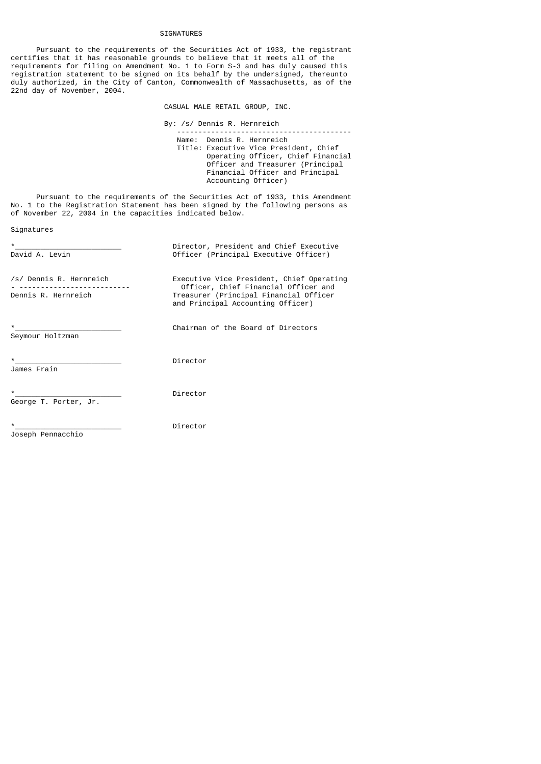### SIGNATURES

 Pursuant to the requirements of the Securities Act of 1933, the registrant certifies that it has reasonable grounds to believe that it meets all of the requirements for filing on Amendment No. 1 to Form S-3 and has duly caused this registration statement to be signed on its behalf by the undersigned, thereunto duly authorized, in the City of Canton, Commonwealth of Massachusetts, as of the 22nd day of November, 2004.

CASUAL MALE RETAIL GROUP, INC.

 By: /s/ Dennis R. Hernreich ----------------------------------------- Name: Dennis R. Hernreich Title: Executive Vice President, Chief Operating Officer, Chief Financial Officer and Treasurer (Principal Financial Officer and Principal Accounting Officer)

 Pursuant to the requirements of the Securities Act of 1933, this Amendment No. 1 to the Registration Statement has been signed by the following persons as of November 22, 2004 in the capacities indicated below.

```
Signatures
```

| $\star$<br>David A. Levin                                                      | Director, President and Chief Executive<br>Officer (Principal Executive Officer)                                                                                 |
|--------------------------------------------------------------------------------|------------------------------------------------------------------------------------------------------------------------------------------------------------------|
| /s/ Dennis R. Hernreich<br>____________________________<br>Dennis R. Hernreich | Executive Vice President, Chief Operating<br>Officer, Chief Financial Officer and<br>Treasurer (Principal Financial Officer<br>and Principal Accounting Officer) |
| $\star$<br>Seymour Holtzman                                                    | Chairman of the Board of Directors                                                                                                                               |
| $\star$<br>James Frain                                                         | Director                                                                                                                                                         |
| $\star$<br>George T. Porter, Jr.                                               | Director                                                                                                                                                         |
| $\star$<br>Joseph Pennacchio                                                   | Director                                                                                                                                                         |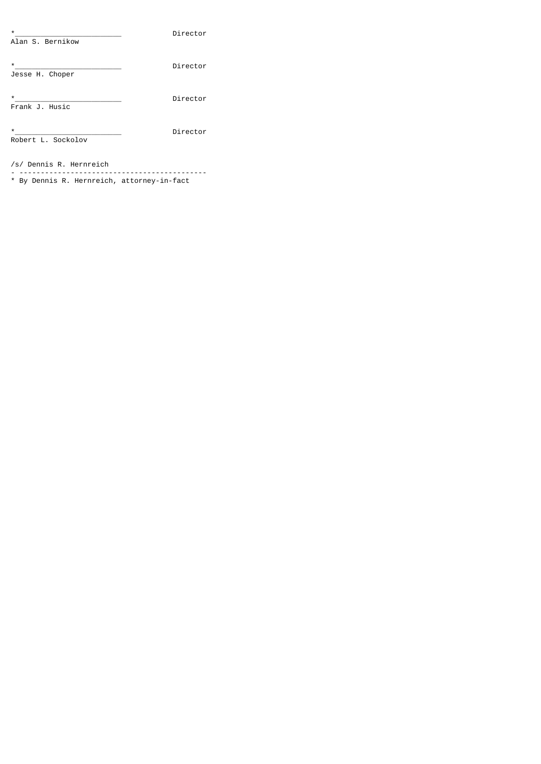Director Alan S. Bernikow \*\_\_\_\_\_\_\_\_\_\_\_\_\_\_\_\_\_\_\_\_\_\_\_\_\_ Director Jesse H. Choper \*\_\_\_\_\_\_\_\_\_\_\_\_\_\_\_\_\_\_\_\_\_\_\_\_\_ Director Frank J. Husic \*\_\_\_\_\_\_\_\_\_\_\_\_\_\_\_\_\_\_\_\_\_\_\_\_\_ Director Robert L. Sockolov

/s/ Dennis R. Hernreich

- -------------------------------------------- \* By Dennis R. Hernreich, attorney-in-fact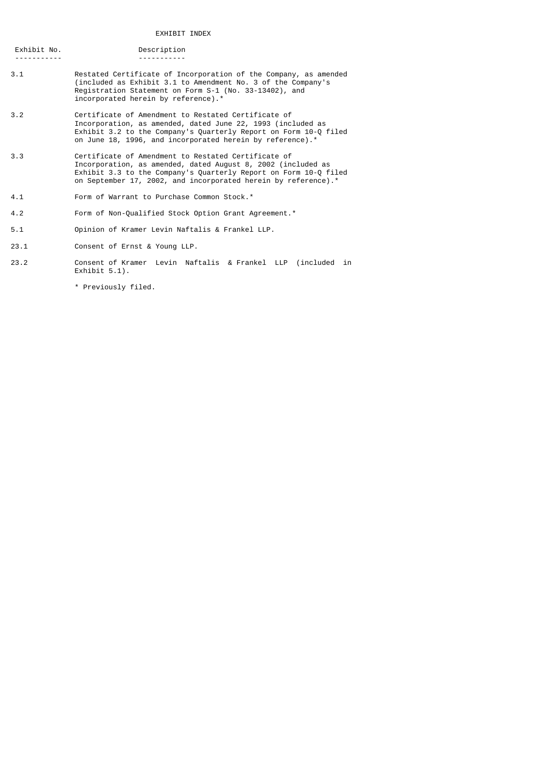| Exhibit No. | Description |
|-------------|-------------|
|             |             |

- 3.1 Restated Certificate of Incorporation of the Company, as amended (included as Exhibit 3.1 to Amendment No. 3 of the Company's Registration Statement on Form S-1 (No. 33-13402), and incorporated herein by reference).\*
- 3.2 Certificate of Amendment to Restated Certificate of Incorporation, as amended, dated June 22, 1993 (included as Exhibit 3.2 to the Company's Quarterly Report on Form 10-Q filed on June 18, 1996, and incorporated herein by reference).\*
- 3.3 Certificate of Amendment to Restated Certificate of Incorporation, as amended, dated August 8, 2002 (included as Exhibit 3.3 to the Company's Quarterly Report on Form 10-Q filed on September 17, 2002, and incorporated herein by reference).\*
- 4.1 Form of Warrant to Purchase Common Stock.\*
- 4.2 Form of Non-Qualified Stock Option Grant Agreement.\*
- 5.1 Opinion of Kramer Levin Naftalis & Frankel LLP.
- 23.1 Consent of Ernst & Young LLP.
- 23.2 Consent of Kramer Levin Naftalis & Frankel LLP (included in Exhibit 5.1).

\* Previously filed.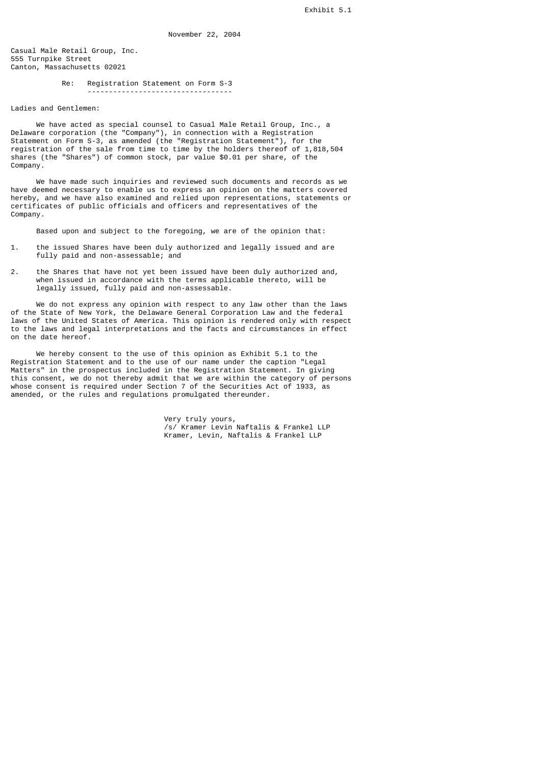Casual Male Retail Group, Inc. 555 Turnpike Street Canton, Massachusetts 02021

> Re: Registration Statement on Form S-3 ----------------------------------

Ladies and Gentlemen:

 We have acted as special counsel to Casual Male Retail Group, Inc., a Delaware corporation (the "Company"), in connection with a Registration Statement on Form S-3, as amended (the "Registration Statement"), for the registration of the sale from time to time by the holders thereof of 1,818,504 shares (the "Shares") of common stock, par value \$0.01 per share, of the Company.

 We have made such inquiries and reviewed such documents and records as we have deemed necessary to enable us to express an opinion on the matters covered hereby, and we have also examined and relied upon representations, statements or certificates of public officials and officers and representatives of the Company.

Based upon and subject to the foregoing, we are of the opinion that:

- 1. the issued Shares have been duly authorized and legally issued and are fully paid and non-assessable; and
- 2. the Shares that have not yet been issued have been duly authorized and, when issued in accordance with the terms applicable thereto, will be legally issued, fully paid and non-assessable.

 We do not express any opinion with respect to any law other than the laws of the State of New York, the Delaware General Corporation Law and the federal laws of the United States of America. This opinion is rendered only with respect to the laws and legal interpretations and the facts and circumstances in effect on the date hereof.

 We hereby consent to the use of this opinion as Exhibit 5.1 to the Registration Statement and to the use of our name under the caption "Legal Matters" in the prospectus included in the Registration Statement. In giving this consent, we do not thereby admit that we are within the category of persons whose consent is required under Section 7 of the Securities Act of 1933, as amended, or the rules and regulations promulgated thereunder.

 Very truly yours, /s/ Kramer Levin Naftalis & Frankel LLP Kramer, Levin, Naftalis & Frankel LLP